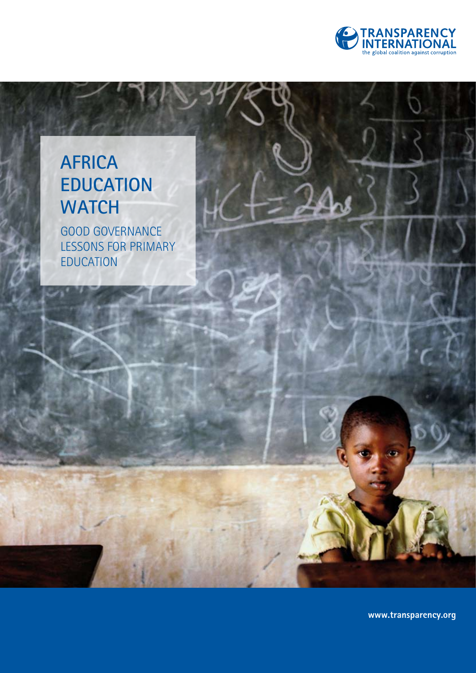

## **AFRICA EDUCATION WATCH**

GOOD GOVERNANCE LESSONS FOR PRIMARY EDUCATION

**www.transparency.org**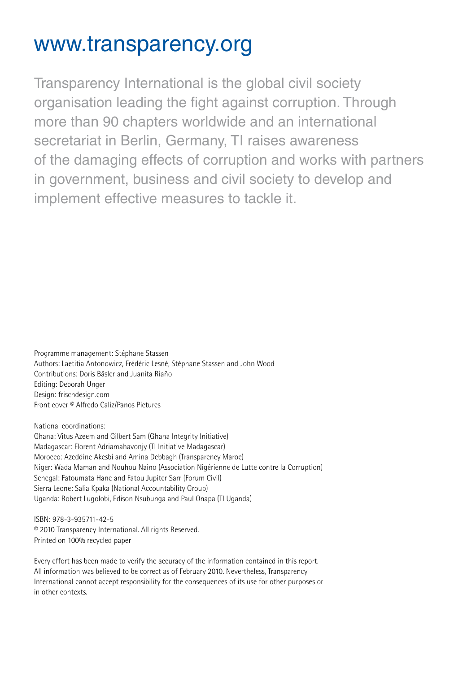## www.transparency.org

Transparency International is the global civil society organisation leading the fight against corruption. Through more than 90 chapters worldwide and an international secretariat in Berlin, Germany, TI raises awareness of the damaging effects of corruption and works with partners in government, business and civil society to develop and implement effective measures to tackle it.

Programme management: Stéphane Stassen Authors: Laetitia Antonowicz, Frédéric Lesné, Stéphane Stassen and John Wood Contributions: Doris Bäsler and Juanita Riaño Editing: Deborah Unger Design: frischdesign.com Front cover © Alfredo Caliz/Panos Pictures

National coordinations: Ghana: Vitus Azeem and Gilbert Sam (Ghana Integrity Initiative) Madagascar: Florent Adriamahavonjy (TI Initiative Madagascar) Morocco: Azeddine Akesbi and Amina Debbagh (Transparency Maroc) Niger: Wada Maman and Nouhou Naino (Association Nigérienne de Lutte contre la Corruption) Senegal: Fatoumata Hane and Fatou Jupiter Sarr (Forum Civil) Sierra Leone: Salia Kpaka (National Accountability Group) Uganda: Robert Lugolobi, Edison Nsubunga and Paul Onapa (TI Uganda)

ISBN: 978-3-935711-42-5 © 2010 Transparency International. All rights Reserved. Printed on 100% recycled paper

Every effort has been made to verify the accuracy of the information contained in this report. All information was believed to be correct as of February 2010. Nevertheless, Transparency International cannot accept responsibility for the consequences of its use for other purposes or in other contexts.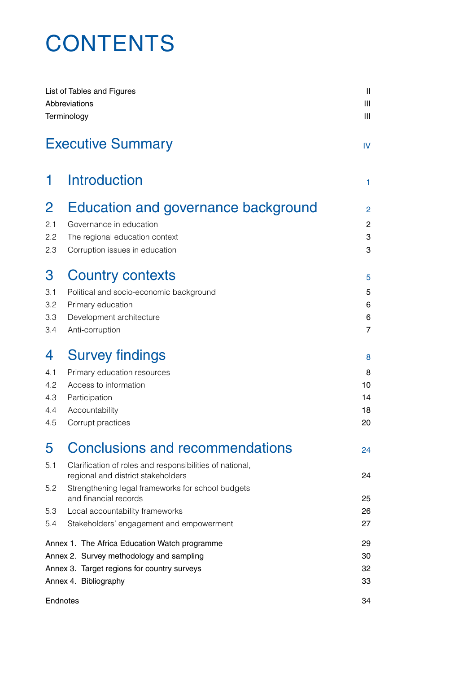## **CONTENTS**

|                | List of Tables and Figures<br>Abbreviations<br>Terminology                                     | $\mathbf{  }$<br>Ш<br>Ш |
|----------------|------------------------------------------------------------------------------------------------|-------------------------|
|                | <b>Executive Summary</b>                                                                       | IV                      |
| 1.             | <b>Introduction</b>                                                                            | 1                       |
| $\overline{2}$ | Education and governance background                                                            | 2                       |
| 2.1            | Governance in education                                                                        | 2                       |
| 2.2            | The regional education context                                                                 | 3                       |
| 2.3            | Corruption issues in education                                                                 | 3                       |
| 3              | <b>Country contexts</b>                                                                        | 5                       |
| 3.1            | Political and socio-economic background                                                        | 5                       |
| 3.2            | Primary education                                                                              | 6                       |
| 3.3            | Development architecture                                                                       | 6                       |
| 3.4            | Anti-corruption                                                                                | $\overline{7}$          |
| 4              | <b>Survey findings</b>                                                                         | 8                       |
| 4.1            | Primary education resources                                                                    | 8                       |
| 4.2            | Access to information                                                                          | 10                      |
| 4.3            | Participation                                                                                  | 14                      |
| 4.4            | Accountability                                                                                 | 18                      |
| 4.5            | Corrupt practices                                                                              | 20                      |
| 5              | <b>Conclusions and recommendations</b>                                                         | 24                      |
| 5.1            | Clarification of roles and responsibilities of national,<br>regional and district stakeholders | 24                      |
| 5.2            | Strengthening legal frameworks for school budgets<br>and financial records                     | 25                      |
| 5.3            | Local accountability frameworks                                                                | 26                      |
| 5.4            | Stakeholders' engagement and empowerment                                                       | 27                      |
|                | Annex 1. The Africa Education Watch programme                                                  | 29                      |
|                | Annex 2. Survey methodology and sampling                                                       | 30                      |
|                | Annex 3. Target regions for country surveys                                                    | 32                      |
|                | Annex 4. Bibliography                                                                          | 33                      |
|                | Endnotes                                                                                       | 34                      |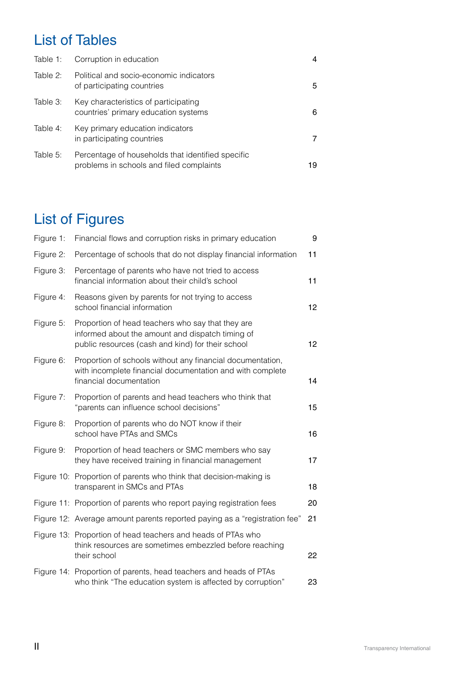### List of Tables

| Table 1:    | Corruption in education                                                                       | 4  |
|-------------|-----------------------------------------------------------------------------------------------|----|
| Table $2$ : | Political and socio-economic indicators<br>of participating countries                         | 5  |
| Table 3:    | Key characteristics of participating<br>countries' primary education systems                  | 6  |
| Table 4:    | Key primary education indicators<br>in participating countries                                |    |
| Table 5:    | Percentage of households that identified specific<br>problems in schools and filed complaints | 19 |

## List of Figures

| Figure 1: | Financial flows and corruption risks in primary education                                                                                                  | 9               |
|-----------|------------------------------------------------------------------------------------------------------------------------------------------------------------|-----------------|
| Figure 2: | Percentage of schools that do not display financial information                                                                                            | 11              |
| Figure 3: | Percentage of parents who have not tried to access<br>financial information about their child's school                                                     | 11              |
| Figure 4: | Reasons given by parents for not trying to access<br>school financial information                                                                          | 12              |
| Figure 5: | Proportion of head teachers who say that they are<br>informed about the amount and dispatch timing of<br>public resources (cash and kind) for their school | 12 <sub>2</sub> |
| Figure 6: | Proportion of schools without any financial documentation,<br>with incomplete financial documentation and with complete<br>financial documentation         | 14              |
| Figure 7: | Proportion of parents and head teachers who think that<br>"parents can influence school decisions"                                                         | 15              |
| Figure 8: | Proportion of parents who do NOT know if their<br>school have PTAs and SMCs                                                                                | 16              |
| Figure 9: | Proportion of head teachers or SMC members who say<br>they have received training in financial management                                                  | 17              |
|           | Figure 10: Proportion of parents who think that decision-making is<br>transparent in SMCs and PTAs                                                         | 18              |
|           | Figure 11: Proportion of parents who report paying registration fees                                                                                       | 20              |
|           | Figure 12: Average amount parents reported paying as a "registration fee"                                                                                  | 21              |
|           | Figure 13: Proportion of head teachers and heads of PTAs who<br>think resources are sometimes embezzled before reaching<br>their school                    | 22              |
|           | Figure 14: Proportion of parents, head teachers and heads of PTAs<br>who think "The education system is affected by corruption"                            | 23              |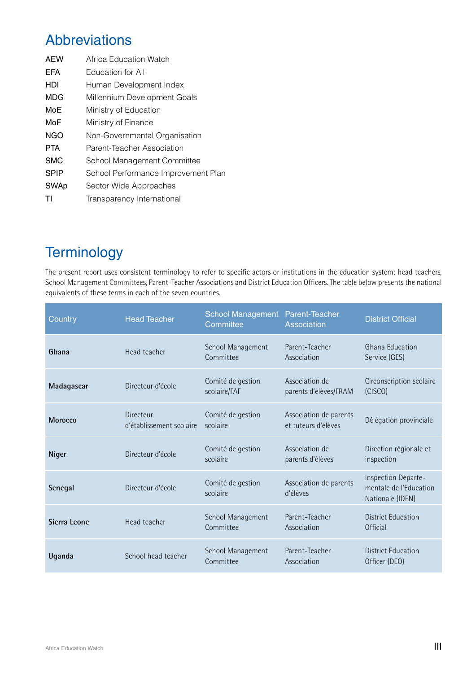### Abbreviations

| Africa Education Watch              |
|-------------------------------------|
| <b>Education for All</b>            |
| Human Development Index             |
| Millennium Development Goals        |
| Ministry of Education               |
| Ministry of Finance                 |
| Non-Governmental Organisation       |
| Parent-Teacher Association          |
| School Management Committee         |
| School Performance Improvement Plan |
| Sector Wide Approaches              |
| Transparency International          |
|                                     |

### **Terminology**

The present report uses consistent terminology to refer to specific actors or institutions in the education system: head teachers, School Management Committees, Parent-Teacher Associations and District Education Officers. The table below presents the national equivalents of these terms in each of the seven countries.

| Country        | <b>Head Teacher</b>                   | School Management Parent-Teacher<br>Committee | Association                                   | <b>District Official</b>                                          |
|----------------|---------------------------------------|-----------------------------------------------|-----------------------------------------------|-------------------------------------------------------------------|
| Ghana          | Head teacher                          | School Management<br>Committee                | Parent-Teacher<br>Association                 | Ghana Education<br>Service (GES)                                  |
| Madagascar     | Directeur d'école                     | Comité de gestion<br>scolaire/FAF             | Association de<br>parents d'élèves/FRAM       | Circonscription scolaire<br>(CISCO)                               |
| <b>Morocco</b> | Directeur<br>d'établissement scolaire | Comité de gestion<br>scolaire                 | Association de parents<br>et tuteurs d'élèves | Délégation provinciale                                            |
| Niger          | Directeur d'école                     | Comité de gestion<br>scolaire                 | Association de<br>parents d'élèves            | Direction régionale et<br>inspection                              |
| Senegal        | Directeur d'école                     | Comité de gestion<br>scolaire                 | Association de parents<br>d'élèves            | Inspection Départe-<br>mentale de l'Education<br>Nationale (IDEN) |
| Sierra Leone   | Head teacher                          | School Management<br>Committee                | Parent-Teacher<br>Association                 | District Education<br>Official                                    |
| Uganda         | School head teacher                   | School Management<br>Committee                | Parent-Teacher<br>Association                 | District Education<br>Officer (DEO)                               |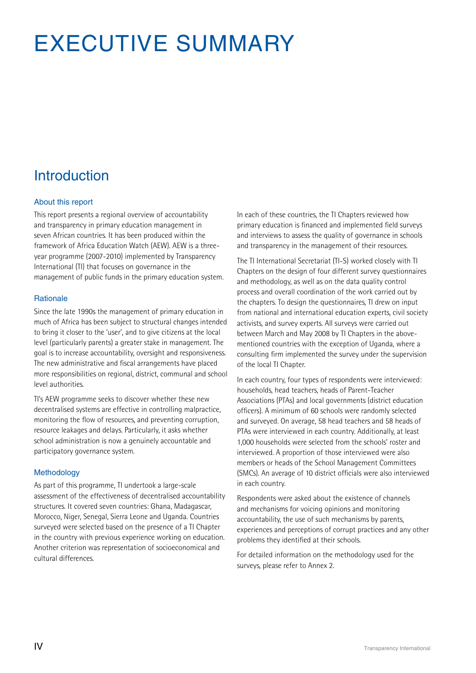# EXECUTIVE SUMMARY

## Introduction

#### About this report

This report presents a regional overview of accountability and transparency in primary education management in seven African countries. It has been produced within the framework of Africa Education Watch (AEW). AEW is a threeyear programme (2007-2010) implemented by Transparency International (TI) that focuses on governance in the management of public funds in the primary education system.

#### **Rationale**

Since the late 1990s the management of primary education in much of Africa has been subject to structural changes intended to bring it closer to the 'user', and to give citizens at the local level (particularly parents) a greater stake in management. The goal is to increase accountability, oversight and responsiveness. The new administrative and fiscal arrangements have placed more responsibilities on regional, district, communal and school level authorities.

TI's AEW programme seeks to discover whether these new decentralised systems are effective in controlling malpractice, monitoring the flow of resources, and preventing corruption, resource leakages and delays. Particularly, it asks whether school administration is now a genuinely accountable and participatory governance system.

#### Methodology

As part of this programme, TI undertook a large-scale assessment of the effectiveness of decentralised accountability structures. It covered seven countries: Ghana, Madagascar, Morocco, Niger, Senegal, Sierra Leone and Uganda. Countries surveyed were selected based on the presence of a TI Chapter in the country with previous experience working on education. Another criterion was representation of socioeconomical and cultural differences.

In each of these countries, the TI Chapters reviewed how primary education is financed and implemented field surveys and interviews to assess the quality of governance in schools and transparency in the management of their resources.

The TI International Secretariat (TI-S) worked closely with TI Chapters on the design of four different survey questionnaires and methodology, as well as on the data quality control process and overall coordination of the work carried out by the chapters. To design the questionnaires, TI drew on input from national and international education experts, civil society activists, and survey experts. All surveys were carried out between March and May 2008 by TI Chapters in the abovementioned countries with the exception of Uganda, where a consulting firm implemented the survey under the supervision of the local TI Chapter.

In each country, four types of respondents were interviewed: households, head teachers, heads of Parent-Teacher Associations (PTAs) and local governments (district education officers). A minimum of 60 schools were randomly selected and surveyed. On average, 58 head teachers and 58 heads of PTAs were interviewed in each country. Additionally, at least 1,000 households were selected from the schools' roster and interviewed. A proportion of those interviewed were also members or heads of the School Management Committees (SMCs). An average of 10 district officials were also interviewed in each country.

Respondents were asked about the existence of channels and mechanisms for voicing opinions and monitoring accountability, the use of such mechanisms by parents, experiences and perceptions of corrupt practices and any other problems they identified at their schools.

For detailed information on the methodology used for the surveys, please refer to Annex 2.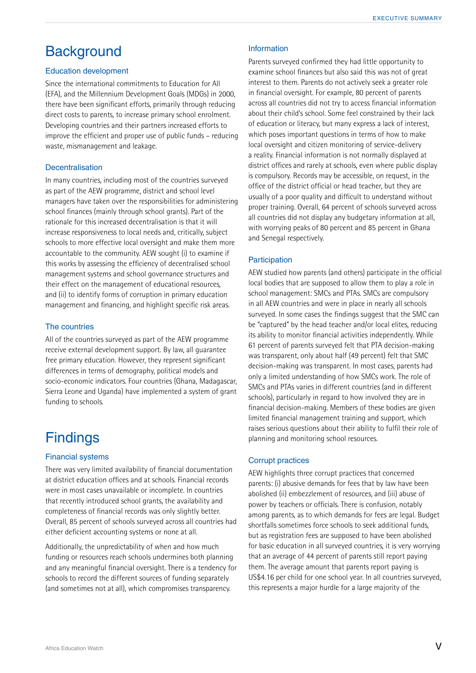### **Background**

#### Education development

Since the international commitments to Education for All (EFA), and the Millennium Development Goals (MDGs) in 2000, there have been significant efforts, primarily through reducing direct costs to parents, to increase primary school enrolment. Developing countries and their partners increased efforts to improve the efficient and proper use of public funds – reducing waste, mismanagement and leakage.

#### **Decentralisation**

In many countries, including most of the countries surveyed as part of the AEW programme, district and school level managers have taken over the responsibilities for administering school finances (mainly through school grants). Part of the rationale for this increased decentralisation is that it will increase responsiveness to local needs and, critically, subject schools to more effective local oversight and make them more accountable to the community. AEW sought (i) to examine if this works by assessing the efficiency of decentralised school management systems and school governance structures and their effect on the management of educational resources, and (ii) to identify forms of corruption in primary education management and financing, and highlight specific risk areas.

#### The countries

All of the countries surveyed as part of the AEW programme receive external development support. By law, all guarantee free primary education. However, they represent significant differences in terms of demography, political models and socio-economic indicators. Four countries (Ghana, Madagascar, Sierra Leone and Uganda) have implemented a system of grant funding to schools.

### **Findings**

#### Financial systems

There was very limited availability of financial documentation at district education offices and at schools. Financial records were in most cases unavailable or incomplete. In countries that recently introduced school grants, the availability and completeness of financial records was only slightly better. Overall, 85 percent of schools surveyed across all countries had either deficient accounting systems or none at all.

Additionally, the unpredictability of when and how much funding or resources reach schools undermines both planning and any meaningful financial oversight. There is a tendency for schools to record the different sources of funding separately (and sometimes not at all), which compromises transparency.

#### Information

Parents surveyed confirmed they had little opportunity to examine school finances but also said this was not of great interest to them. Parents do not actively seek a greater role in financial oversight. For example, 80 percent of parents across all countries did not try to access financial information about their child's school. Some feel constrained by their lack of education or literacy, but many express a lack of interest, which poses important questions in terms of how to make local oversight and citizen monitoring of service-delivery a reality. Financial information is not normally displayed at district offices and rarely at schools, even where public display is compulsory. Records may be accessible, on request, in the office of the district official or head teacher, but they are usually of a poor quality and difficult to understand without proper training. Overall, 64 percent of schools surveyed across all countries did not display any budgetary information at all, with worrying peaks of 80 percent and 85 percent in Ghana and Senegal respectively.

#### **Participation**

AEW studied how parents (and others) participate in the official local bodies that are supposed to allow them to play a role in school management: SMCs and PTAs. SMCs are compulsory in all AEW countries and were in place in nearly all schools surveyed. In some cases the findings suggest that the SMC can be "captured" by the head teacher and/or local elites, reducing its ability to monitor financial activities independently. While 61 percent of parents surveyed felt that PTA decision-making was transparent, only about half (49 percent) felt that SMC decision-making was transparent. In most cases, parents had only a limited understanding of how SMCs work. The role of SMCs and PTAs varies in different countries (and in different schools), particularly in regard to how involved they are in financial decision-making. Members of these bodies are given limited financial management training and support, which raises serious questions about their ability to fulfil their role of planning and monitoring school resources.

#### Corrupt practices

AEW highlights three corrupt practices that concerned parents: (i) abusive demands for fees that by law have been abolished (ii) embezzlement of resources, and (iii) abuse of power by teachers or officials. There is confusion, notably among parents, as to which demands for fees are legal. Budget shortfalls sometimes force schools to seek additional funds, but as registration fees are supposed to have been abolished for basic education in all surveyed countries, it is very worrying that an average of 44 percent of parents still report paying them. The average amount that parents report paying is US\$4.16 per child for one school year. In all countries surveyed, this represents a major hurdle for a large majority of the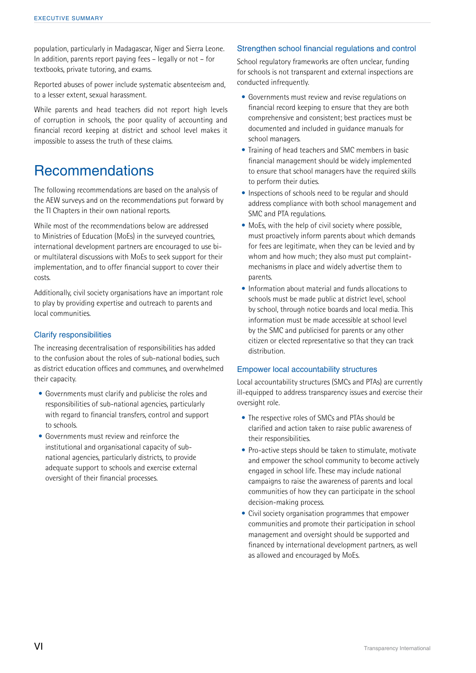population, particularly in Madagascar, Niger and Sierra Leone. In addition, parents report paying fees – legally or not – for textbooks, private tutoring, and exams.

Reported abuses of power include systematic absenteeism and, to a lesser extent, sexual harassment.

While parents and head teachers did not report high levels of corruption in schools, the poor quality of accounting and financial record keeping at district and school level makes it impossible to assess the truth of these claims.

### Recommendations

The following recommendations are based on the analysis of the AEW surveys and on the recommendations put forward by the TI Chapters in their own national reports.

While most of the recommendations below are addressed to Ministries of Education (MoEs) in the surveyed countries, international development partners are encouraged to use bior multilateral discussions with MoEs to seek support for their implementation, and to offer financial support to cover their costs.

Additionally, civil society organisations have an important role to play by providing expertise and outreach to parents and local communities.

#### Clarify responsibilities

The increasing decentralisation of responsibilities has added to the confusion about the roles of sub-national bodies, such as district education offices and communes, and overwhelmed their capacity.

- Governments must clarify and publicise the roles and responsibilities of sub-national agencies, particularly with regard to financial transfers, control and support to schools.
- Governments must review and reinforce the institutional and organisational capacity of subnational agencies, particularly districts, to provide adequate support to schools and exercise external oversight of their financial processes.

#### Strengthen school financial regulations and control

School regulatory frameworks are often unclear, funding for schools is not transparent and external inspections are conducted infrequently.

- Governments must review and revise regulations on financial record keeping to ensure that they are both comprehensive and consistent; best practices must be documented and included in guidance manuals for school managers.
- Training of head teachers and SMC members in basic financial management should be widely implemented to ensure that school managers have the required skills to perform their duties.
- Inspections of schools need to be regular and should address compliance with both school management and SMC and PTA regulations.
- MoEs, with the help of civil society where possible, must proactively inform parents about which demands for fees are legitimate, when they can be levied and by whom and how much; they also must put complaintmechanisms in place and widely advertise them to parents.
- Information about material and funds allocations to schools must be made public at district level, school by school, through notice boards and local media. This information must be made accessible at school level by the SMC and publicised for parents or any other citizen or elected representative so that they can track distribution.

#### Empower local accountability structures

Local accountability structures (SMCs and PTAs) are currently ill-equipped to address transparency issues and exercise their oversight role.

- The respective roles of SMCs and PTAs should be clarified and action taken to raise public awareness of their responsibilities.
- Pro-active steps should be taken to stimulate, motivate and empower the school community to become actively engaged in school life. These may include national campaigns to raise the awareness of parents and local communities of how they can participate in the school decision-making process.
- Civil society organisation programmes that empower communities and promote their participation in school management and oversight should be supported and financed by international development partners, as well as allowed and encouraged by MoEs.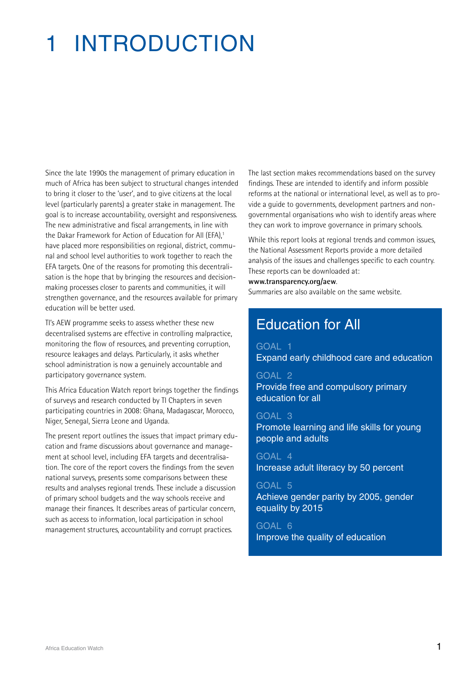# 1 Introduction

Since the late 1990s the management of primary education in much of Africa has been subject to structural changes intended to bring it closer to the 'user', and to give citizens at the local level (particularly parents) a greater stake in management. The goal is to increase accountability, oversight and responsiveness. The new administrative and fiscal arrangements, in line with the Dakar Framework for Action of Education for All (EFA),<sup>1</sup> have placed more responsibilities on regional, district, communal and school level authorities to work together to reach the EFA targets. One of the reasons for promoting this decentralisation is the hope that by bringing the resources and decisionmaking processes closer to parents and communities, it will strengthen governance, and the resources available for primary education will be better used.

TI's AEW programme seeks to assess whether these new decentralised systems are effective in controlling malpractice, monitoring the flow of resources, and preventing corruption, resource leakages and delays. Particularly, it asks whether school administration is now a genuinely accountable and participatory governance system.

This Africa Education Watch report brings together the findings of surveys and research conducted by TI Chapters in seven participating countries in 2008: Ghana, Madagascar, Morocco, Niger, Senegal, Sierra Leone and Uganda.

The present report outlines the issues that impact primary education and frame discussions about governance and management at school level, including EFA targets and decentralisation. The core of the report covers the findings from the seven national surveys, presents some comparisons between these results and analyses regional trends. These include a discussion of primary school budgets and the way schools receive and manage their finances. It describes areas of particular concern, such as access to information, local participation in school management structures, accountability and corrupt practices.

The last section makes recommendations based on the survey findings. These are intended to identify and inform possible reforms at the national or international level, as well as to provide a guide to governments, development partners and nongovernmental organisations who wish to identify areas where they can work to improve governance in primary schools.

While this report looks at regional trends and common issues, the National Assessment Reports provide a more detailed analysis of the issues and challenges specific to each country. These reports can be downloaded at:

#### **www.transparency.org/aew**.

Summaries are also available on the same website.

### Education for All

GOAL 1 Expand early childhood care and education

### GOAL 2

Provide free and compulsory primary education for all

#### GOAL 3

Promote learning and life skills for young people and adults

GOAL 4 Increase adult literacy by 50 percent

#### GOAL 5

Achieve gender parity by 2005, gender equality by 2015

GOAL 6 Improve the quality of education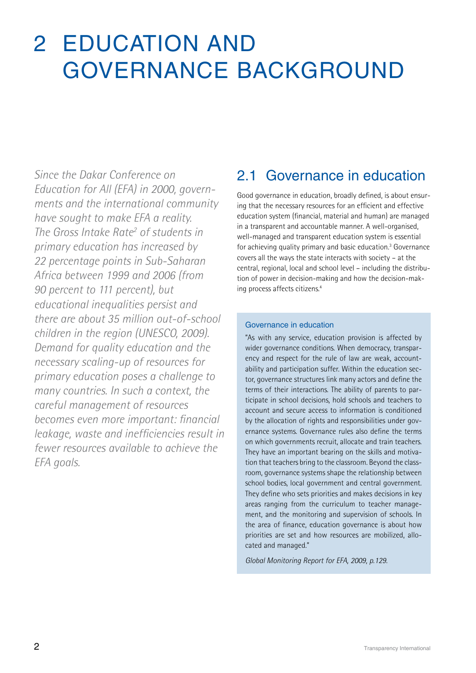## 2 Education and governance background

*Since the Dakar Conference on Education for All (EFA) in 2000, governments and the international community have sought to make EFA a reality. The Gross Intake Rate2 of students in primary education has increased by 22 percentage points in Sub-Saharan Africa between 1999 and 2006 (from 90 percent to 111 percent), but educational inequalities persist and there are about 35 million out-of-school children in the region (UNESCO, 2009). Demand for quality education and the necessary scaling-up of resources for primary education poses a challenge to many countries. In such a context, the careful management of resources becomes even more important: financial leakage, waste and inefficiencies result in fewer resources available to achieve the EFA goals.* 

### 2.1 Governance in education

Good governance in education, broadly defined, is about ensuring that the necessary resources for an efficient and effective education system (financial, material and human) are managed in a transparent and accountable manner. A well-organised, well-managed and transparent education system is essential for achieving quality primary and basic education.<sup>3</sup> Governance covers all the ways the state interacts with society – at the central, regional, local and school level – including the distribution of power in decision-making and how the decision-making process affects citizens.4

#### Governance in education

"As with any service, education provision is affected by wider governance conditions. When democracy, transparency and respect for the rule of law are weak, accountability and participation suffer. Within the education sector, governance structures link many actors and define the terms of their interactions. The ability of parents to participate in school decisions, hold schools and teachers to account and secure access to information is conditioned by the allocation of rights and responsibilities under governance systems. Governance rules also define the terms on which governments recruit, allocate and train teachers. They have an important bearing on the skills and motivation that teachers bring to the classroom. Beyond the classroom, governance systems shape the relationship between school bodies, local government and central government. They define who sets priorities and makes decisions in key areas ranging from the curriculum to teacher management, and the monitoring and supervision of schools. In the area of finance, education governance is about how priorities are set and how resources are mobilized, allocated and managed."

*Global Monitoring Report for EFA, 2009, p.129.*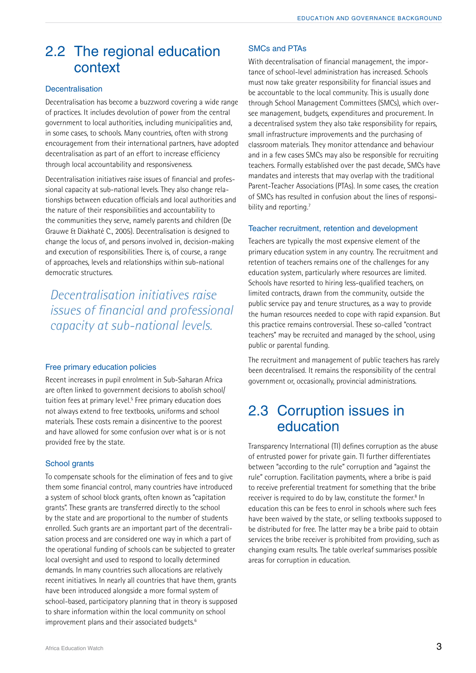### 2.2 The regional education context

#### **Decentralisation**

Decentralisation has become a buzzword covering a wide range of practices. It includes devolution of power from the central government to local authorities, including municipalities and, in some cases, to schools. Many countries, often with strong encouragement from their international partners, have adopted decentralisation as part of an effort to increase efficiency through local accountability and responsiveness.

Decentralisation initiatives raise issues of financial and professional capacity at sub-national levels. They also change relationships between education officials and local authorities and the nature of their responsibilities and accountability to the communities they serve, namely parents and children (De Grauwe & Diakhaté C., 2005). Decentralisation is designed to change the locus of, and persons involved in, decision-making and execution of responsibilities. There is, of course, a range of approaches, levels and relationships within sub-national democratic structures.

*Decentralisation initiatives raise issues of financial and professional capacity at sub-national levels.*

#### Free primary education policies

Recent increases in pupil enrolment in Sub-Saharan Africa are often linked to government decisions to abolish school/ tuition fees at primary level.<sup>5</sup> Free primary education does not always extend to free textbooks, uniforms and school materials. These costs remain a disincentive to the poorest and have allowed for some confusion over what is or is not provided free by the state.

#### School grants

To compensate schools for the elimination of fees and to give them some financial control, many countries have introduced a system of school block grants, often known as "capitation grants". These grants are transferred directly to the school by the state and are proportional to the number of students enrolled. Such grants are an important part of the decentralisation process and are considered one way in which a part of the operational funding of schools can be subjected to greater local oversight and used to respond to locally determined demands. In many countries such allocations are relatively recent initiatives. In nearly all countries that have them, grants have been introduced alongside a more formal system of school-based, participatory planning that in theory is supposed to share information within the local community on school improvement plans and their associated budgets.<sup>6</sup>

#### SMCs and PTAs

With decentralisation of financial management, the importance of school-level administration has increased. Schools must now take greater responsibility for financial issues and be accountable to the local community. This is usually done through School Management Committees (SMCs), which oversee management, budgets, expenditures and procurement. In a decentralised system they also take responsibility for repairs, small infrastructure improvements and the purchasing of classroom materials. They monitor attendance and behaviour and in a few cases SMCs may also be responsible for recruiting teachers. Formally established over the past decade, SMCs have mandates and interests that may overlap with the traditional Parent-Teacher Associations (PTAs). In some cases, the creation of SMCs has resulted in confusion about the lines of responsibility and reporting.<sup>7</sup>

#### Teacher recruitment, retention and development

Teachers are typically the most expensive element of the primary education system in any country. The recruitment and retention of teachers remains one of the challenges for any education system, particularly where resources are limited. Schools have resorted to hiring less-qualified teachers, on limited contracts, drawn from the community, outside the public service pay and tenure structures, as a way to provide the human resources needed to cope with rapid expansion. But this practice remains controversial. These so-called "contract teachers" may be recruited and managed by the school, using public or parental funding.

The recruitment and management of public teachers has rarely been decentralised. It remains the responsibility of the central government or, occasionally, provincial administrations.

### 2.3 Corruption issues in education

Transparency International (TI) defines corruption as the abuse of entrusted power for private gain. TI further differentiates between "according to the rule" corruption and "against the rule" corruption. Facilitation payments, where a bribe is paid to receive preferential treatment for something that the bribe receiver is required to do by law, constitute the former.<sup>8</sup> In education this can be fees to enrol in schools where such fees have been waived by the state, or selling textbooks supposed to be distributed for free. The latter may be a bribe paid to obtain services the bribe receiver is prohibited from providing, such as changing exam results. The table overleaf summarises possible areas for corruption in education.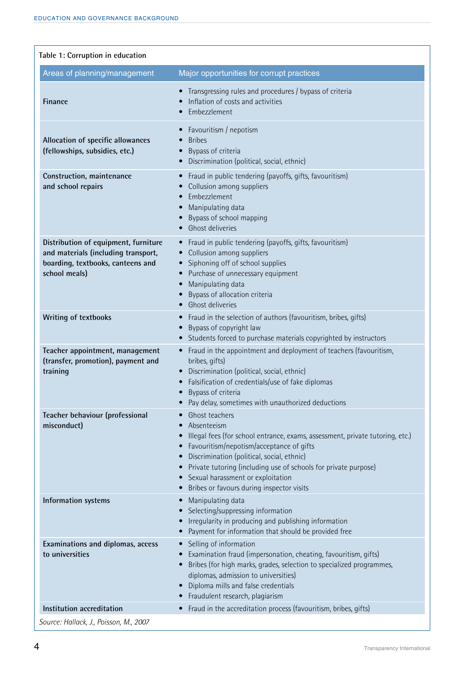| Table 1: Corruption in education                                                                                                  |                                                                                                                                                                                                                                                                                                                                                                            |
|-----------------------------------------------------------------------------------------------------------------------------------|----------------------------------------------------------------------------------------------------------------------------------------------------------------------------------------------------------------------------------------------------------------------------------------------------------------------------------------------------------------------------|
| Areas of planning/management                                                                                                      | Major opportunities for corrupt practices                                                                                                                                                                                                                                                                                                                                  |
| <b>Finance</b>                                                                                                                    | Transgressing rules and procedures / bypass of criteria<br>$\bullet$<br>Inflation of costs and activities<br>Embezzlement                                                                                                                                                                                                                                                  |
| Allocation of specific allowances<br>(fellowships, subsidies, etc.)                                                               | Favouritism / nepotism<br><b>Bribes</b><br>Bypass of criteria<br>$\bullet$<br>Discrimination (political, social, ethnic)                                                                                                                                                                                                                                                   |
| Construction, maintenance<br>and school repairs                                                                                   | Fraud in public tendering (payoffs, gifts, favouritism)<br>$\bullet$<br>Collusion among suppliers<br>Embezzlement<br>Manipulating data<br>Bypass of school mapping<br>Ghost deliveries                                                                                                                                                                                     |
| Distribution of equipment, furniture<br>and materials (including transport,<br>boarding, textbooks, canteens and<br>school meals) | Fraud in public tendering (payoffs, gifts, favouritism)<br>$\bullet$<br>Collusion among suppliers<br>$\bullet$<br>Siphoning off of school supplies<br>Purchase of unnecessary equipment<br>Manipulating data<br>Bypass of allocation criteria<br>Ghost deliveries<br>$\bullet$                                                                                             |
| Writing of textbooks                                                                                                              | Fraud in the selection of authors (favouritism, bribes, gifts)<br>Bypass of copyright law<br>Students forced to purchase materials copyrighted by instructors<br>$\bullet$                                                                                                                                                                                                 |
| Teacher appointment, management<br>(transfer, promotion), payment and<br>training                                                 | Fraud in the appointment and deployment of teachers (favouritism,<br>$\bullet$<br>bribes, gifts)<br>Discrimination (political, social, ethnic)<br>$\bullet$<br>Falsification of credentials/use of fake diplomas<br>$\bullet$<br>Bypass of criteria<br>Pay delay, sometimes with unauthorized deductions                                                                   |
| Teacher behaviour (professional<br>misconduct)                                                                                    | Ghost teachers<br>Absenteeism<br>Illegal fees (for school entrance, exams, assessment, private tutoring, etc.)<br>Favouritism/nepotism/acceptance of gifts<br>Discrimination (political, social, ethnic)<br>Private tutoring (including use of schools for private purpose)<br>$\bullet$<br>Sexual harassment or exploitation<br>Bribes or favours during inspector visits |
| Information systems                                                                                                               | Manipulating data<br>Selecting/suppressing information<br>Irregularity in producing and publishing information<br>Payment for information that should be provided free                                                                                                                                                                                                     |
| Examinations and diplomas, access<br>to universities                                                                              | Selling of information<br>$\bullet$<br>Examination fraud (impersonation, cheating, favouritism, gifts)<br>Bribes (for high marks, grades, selection to specialized programmes,<br>diplomas, admission to universities)<br>Diploma mills and false credentials<br>Fraudulent research, plagiarism                                                                           |
| Institution accreditation                                                                                                         | • Fraud in the accreditation process (favouritism, bribes, gifts)                                                                                                                                                                                                                                                                                                          |
| Source: Hallack, J., Poisson, M., 2007                                                                                            |                                                                                                                                                                                                                                                                                                                                                                            |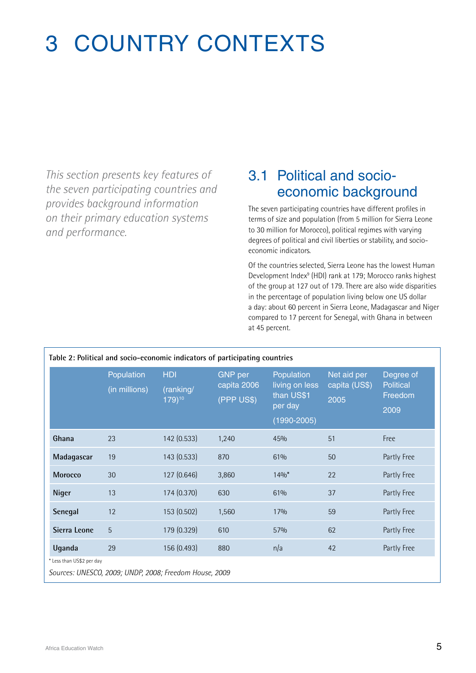## 3 COUNTRY CONTEXTS

*This section presents key features of the seven participating countries and provides background information on their primary education systems and performance.* 

### 3.1 Political and socioeconomic background

The seven participating countries have different profiles in terms of size and population (from 5 million for Sierra Leone to 30 million for Morocco), political regimes with varying degrees of political and civil liberties or stability, and socioeconomic indicators.

Of the countries selected, Sierra Leone has the lowest Human Development Index<sup>9</sup> (HDI) rank at 179; Morocco ranks highest of the group at 127 out of 179. There are also wide disparities in the percentage of population living below one US dollar a day: about 60 percent in Sierra Leone, Madagascar and Niger compared to 17 percent for Senegal, with Ghana in between at 45 percent.

| Table 2: Political and socio-economic indicators of participating countries |                                                        |                                   |                                             |                                                                          |                                      |                                                  |  |  |  |
|-----------------------------------------------------------------------------|--------------------------------------------------------|-----------------------------------|---------------------------------------------|--------------------------------------------------------------------------|--------------------------------------|--------------------------------------------------|--|--|--|
|                                                                             | Population<br>(in millions)                            | <b>HDI</b><br>(ranking/<br>179)10 | <b>GNP</b> per<br>capita 2006<br>(PPP US\$) | Population<br>living on less<br>than US\$1<br>per day<br>$(1990 - 2005)$ | Net aid per<br>capita (US\$)<br>2005 | Degree of<br><b>Political</b><br>Freedom<br>2009 |  |  |  |
| Ghana                                                                       | 23                                                     | 142 (0.533)                       | 1,240                                       | 45%                                                                      | 51                                   | Free                                             |  |  |  |
| Madagascar                                                                  | 19                                                     | 143 (0.533)                       | 870                                         | 61%                                                                      | 50                                   | Partly Free                                      |  |  |  |
| <b>Morocco</b>                                                              | 30                                                     | 127 (0.646)                       | 3,860                                       | $14\%$ <sup>*</sup>                                                      | 22                                   | Partly Free                                      |  |  |  |
| Niger                                                                       | 13                                                     | 174 (0.370)                       | 630                                         | 61%                                                                      | 37                                   | Partly Free                                      |  |  |  |
| Senegal                                                                     | 12                                                     | 153 (0.502)                       | 1,560                                       | 17%                                                                      | 59                                   | Partly Free                                      |  |  |  |
| Sierra Leone                                                                | 5                                                      | 179 (0.329)                       | 610                                         | 57%                                                                      | 62                                   | Partly Free                                      |  |  |  |
| Uganda                                                                      | 29                                                     | 156 (0.493)                       | 880                                         | n/a                                                                      | 42                                   | Partly Free                                      |  |  |  |
| * Less than US\$2 per day                                                   |                                                        |                                   |                                             |                                                                          |                                      |                                                  |  |  |  |
|                                                                             | Sources: UNESCO, 2009; UNDP, 2008; Freedom House, 2009 |                                   |                                             |                                                                          |                                      |                                                  |  |  |  |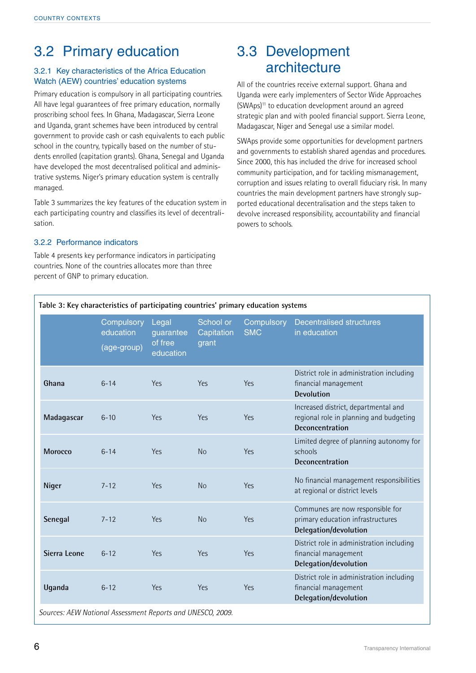### 3.2 Primary education

#### 3.2.1 Key characteristics of the Africa Education Watch (AEW) countries' education systems

Primary education is compulsory in all participating countries. All have legal guarantees of free primary education, normally proscribing school fees. In Ghana, Madagascar, Sierra Leone and Uganda, grant schemes have been introduced by central government to provide cash or cash equivalents to each public school in the country, typically based on the number of students enrolled (capitation grants). Ghana, Senegal and Uganda have developed the most decentralised political and administrative systems. Niger's primary education system is centrally managed.

Table 3 summarizes the key features of the education system in each participating country and classifies its level of decentralisation.

#### 3.2.2 Performance indicators

Table 4 presents key performance indicators in participating countries. None of the countries allocates more than three percent of GNP to primary education.

### 3.3 Development architecture

All of the countries receive external support. Ghana and Uganda were early implementers of Sector Wide Approaches (SWAps)11 to education development around an agreed strategic plan and with pooled financial support. Sierra Leone, Madagascar, Niger and Senegal use a similar model.

SWAps provide some opportunities for development partners and governments to establish shared agendas and procedures. Since 2000, this has included the drive for increased school community participation, and for tackling mismanagement, corruption and issues relating to overall fiduciary risk. In many countries the main development partners have strongly supported educational decentralisation and the steps taken to devolve increased responsibility, accountability and financial powers to schools.

|                | Compulsory<br>education<br>(age-group) | Legal<br>quarantee<br>of free<br>education | School or<br>Capitation<br>grant | Compulsory<br><b>SMC</b> | <b>Decentralised structures</b><br>in education                                                    |
|----------------|----------------------------------------|--------------------------------------------|----------------------------------|--------------------------|----------------------------------------------------------------------------------------------------|
| Ghana          | $6 - 14$                               | Yes                                        | Yes                              | Yes                      | District role in administration including<br>financial management<br><b>Devolution</b>             |
| Madagascar     | $6 - 10$                               | Yes                                        | Yes                              | Yes                      | Increased district, departmental and<br>regional role in planning and budgeting<br>Deconcentration |
| <b>Morocco</b> | $6 - 14$                               | Yes                                        | <b>No</b>                        | Yes                      | Limited degree of planning autonomy for<br>schools<br>Deconcentration                              |
| Niger          | $7 - 12$                               | Yes                                        | <b>No</b>                        | Yes                      | No financial management responsibilities<br>at regional or district levels                         |
| Senegal        | $7 - 12$                               | Yes                                        | <b>No</b>                        | Yes                      | Communes are now responsible for<br>primary education infrastructures<br>Delegation/devolution     |
| Sierra Leone   | $6 - 12$                               | Yes                                        | Yes                              | Yes                      | District role in administration including<br>financial management<br>Delegation/devolution         |
| Uganda         | $6 - 12$                               | Yes                                        | Yes                              | Yes                      | District role in administration including<br>financial management<br>Delegation/devolution         |

**Table 3: Key characteristics of participating countries' primary education systems**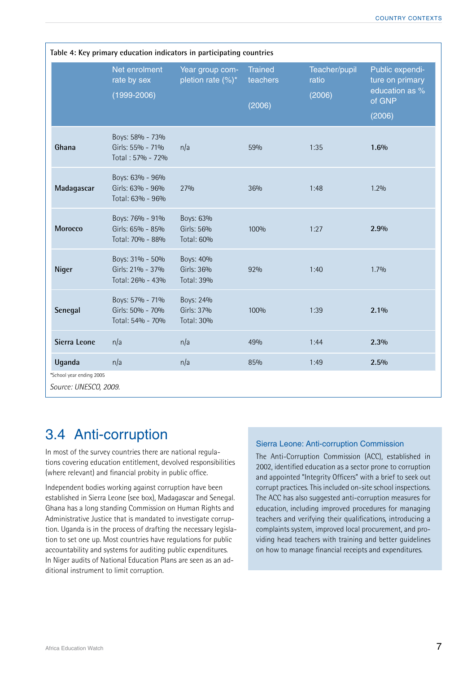| Table 4: Key primary education indicators in participating countries                             |                                                         |                                          |                                      |                                  |                                                                          |  |  |  |
|--------------------------------------------------------------------------------------------------|---------------------------------------------------------|------------------------------------------|--------------------------------------|----------------------------------|--------------------------------------------------------------------------|--|--|--|
|                                                                                                  | Net enrolment<br>rate by sex<br>$(1999 - 2006)$         | Year group com-<br>pletion rate $(\%)^*$ | <b>Trained</b><br>teachers<br>(2006) | Teacher/pupil<br>ratio<br>(2006) | Public expendi-<br>ture on primary<br>education as %<br>of GNP<br>(2006) |  |  |  |
| Ghana                                                                                            | Boys: 58% - 73%<br>Girls: 55% - 71%<br>Total: 57% - 72% | n/a                                      | 59%                                  | 1:35                             | 1.6%                                                                     |  |  |  |
| Madagascar                                                                                       | Boys: 63% - 96%<br>Girls: 63% - 96%<br>Total: 63% - 96% | 27%                                      | 36%                                  | 1:48                             | 1.2%                                                                     |  |  |  |
| <b>Morocco</b>                                                                                   | Boys: 76% - 91%<br>Girls: 65% - 85%<br>Total: 70% - 88% | Boys: 63%<br>Girls: 56%<br>Total: 60%    | 100%                                 | 1:27                             | 2.9%                                                                     |  |  |  |
| <b>Niger</b>                                                                                     | Boys: 31% - 50%<br>Girls: 21% - 37%<br>Total: 26% - 43% | Boys: 40%<br>Girls: 36%<br>Total: 39%    | 92%                                  | 1:40                             | 1.7%                                                                     |  |  |  |
| Senegal                                                                                          | Boys: 57% - 71%<br>Girls: 50% - 70%<br>Total: 54% - 70% | Boys: 24%<br>Girls: 37%<br>Total: 30%    | 100%                                 | 1:39                             | 2.1%                                                                     |  |  |  |
| Sierra Leone                                                                                     | n/a                                                     | n/a                                      | 49%                                  | 1:44                             | 2.3%                                                                     |  |  |  |
| n/a<br>Uganda<br>n/a<br>85%<br>1:49<br>2.5%<br>*School year ending 2005<br>Source: UNESCO, 2009. |                                                         |                                          |                                      |                                  |                                                                          |  |  |  |

### 3.4 Anti-corruption

In most of the survey countries there are national regulations covering education entitlement, devolved responsibilities (where relevant) and financial probity in public office.

Independent bodies working against corruption have been established in Sierra Leone (see box), Madagascar and Senegal. Ghana has a long standing Commission on Human Rights and Administrative Justice that is mandated to investigate corruption. Uganda is in the process of drafting the necessary legislation to set one up. Most countries have regulations for public accountability and systems for auditing public expenditures. In Niger audits of National Education Plans are seen as an additional instrument to limit corruption.

#### Sierra Leone: Anti-corruption Commission

The Anti-Corruption Commission (ACC), established in 2002, identified education as a sector prone to corruption and appointed "Integrity Officers" with a brief to seek out corrupt practices. This included on-site school inspections. The ACC has also suggested anti-corruption measures for education, including improved procedures for managing teachers and verifying their qualifications, introducing a complaints system, improved local procurement, and providing head teachers with training and better guidelines on how to manage financial receipts and expenditures.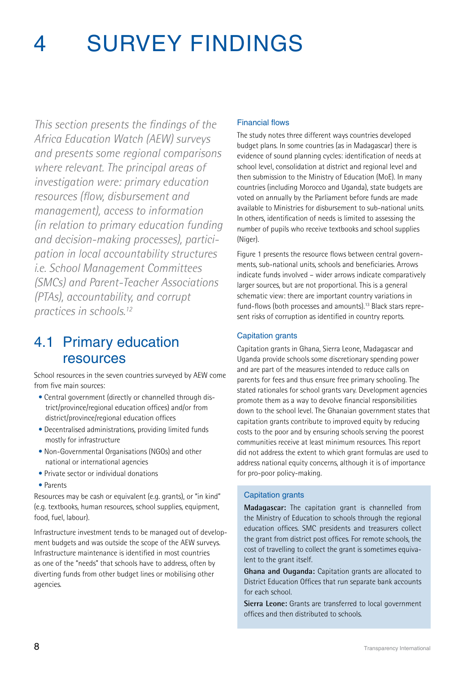# 4 Survey findings

*This section presents the findings of the Africa Education Watch (AEW) surveys and presents some regional comparisons where relevant. The principal areas of investigation were: primary education resources (flow, disbursement and management), access to information (in relation to primary education funding and decision-making processes), participation in local accountability structures i.e. School Management Committees (SMCs) and Parent-Teacher Associations (PTAs), accountability, and corrupt practices in schools.12* 

### 4.1 Primary education resources

School resources in the seven countries surveyed by AEW come from five main sources:

- Central government (directly or channelled through district/province/regional education offices) and/or from district/province/regional education offices
- Decentralised administrations, providing limited funds mostly for infrastructure
- Non-Governmental Organisations (NGOs) and other national or international agencies
- Private sector or individual donations
- Parents

Resources may be cash or equivalent (e.g. grants), or "in kind" (e.g. textbooks, human resources, school supplies, equipment, food, fuel, labour).

Infrastructure investment tends to be managed out of development budgets and was outside the scope of the AEW surveys. Infrastructure maintenance is identified in most countries as one of the "needs" that schools have to address, often by diverting funds from other budget lines or mobilising other agencies.

#### Financial flows

The study notes three different ways countries developed budget plans. In some countries (as in Madagascar) there is evidence of sound planning cycles: identification of needs at school level, consolidation at district and regional level and then submission to the Ministry of Education (MoE). In many countries (including Morocco and Uganda), state budgets are voted on annually by the Parliament before funds are made available to Ministries for disbursement to sub-national units. In others, identification of needs is limited to assessing the number of pupils who receive textbooks and school supplies (Niger).

Figure 1 presents the resource flows between central governments, sub-national units, schools and beneficiaries. Arrows indicate funds involved – wider arrows indicate comparatively larger sources, but are not proportional. This is a general schematic view: there are important country variations in fund-flows (both processes and amounts).<sup>13</sup> Black stars represent risks of corruption as identified in country reports.

#### Capitation grants

Capitation grants in Ghana, Sierra Leone, Madagascar and Uganda provide schools some discretionary spending power and are part of the measures intended to reduce calls on parents for fees and thus ensure free primary schooling. The stated rationales for school grants vary. Development agencies promote them as a way to devolve financial responsibilities down to the school level. The Ghanaian government states that capitation grants contribute to improved equity by reducing costs to the poor and by ensuring schools serving the poorest communities receive at least minimum resources. This report did not address the extent to which grant formulas are used to address national equity concerns, although it is of importance for pro-poor policy-making.

#### Capitation grants

**Madagascar:** The capitation grant is channelled from the Ministry of Education to schools through the regional education offices. SMC presidents and treasurers collect the grant from district post offices. For remote schools, the cost of travelling to collect the grant is sometimes equivalent to the grant itself.

**Ghana and Ouganda:** Capitation grants are allocated to District Education Offices that run separate bank accounts for each school.

**Sierra Leone:** Grants are transferred to local government offices and then distributed to schools.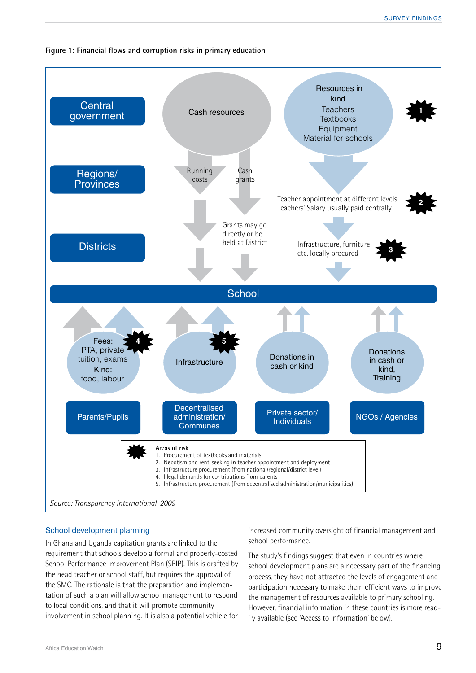#### **Figure 1: Financial flows and corruption risks in primary education**



#### School development planning

In Ghana and Uganda capitation grants are linked to the requirement that schools develop a formal and properly-costed School Performance Improvement Plan (SPIP). This is drafted by the head teacher or school staff, but requires the approval of the SMC. The rationale is that the preparation and implementation of such a plan will allow school management to respond to local conditions, and that it will promote community involvement in school planning. It is also a potential vehicle for

increased community oversight of financial management and school performance.

The study's findings suggest that even in countries where school development plans are a necessary part of the financing process, they have not attracted the levels of engagement and participation necessary to make them efficient ways to improve the management of resources available to primary schooling. However, financial information in these countries is more readily available (see 'Access to Information' below).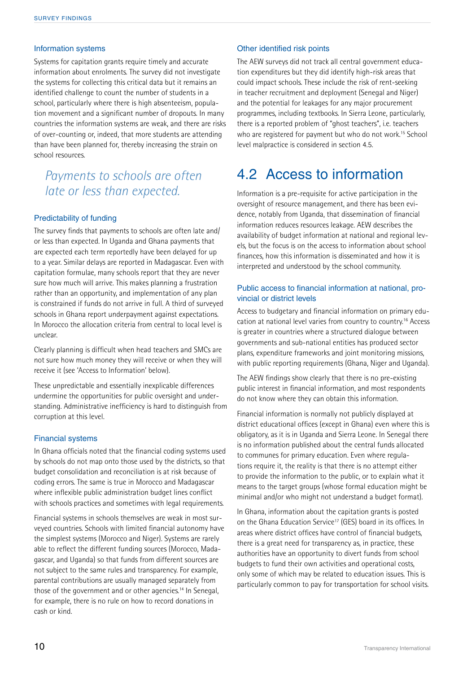#### Information systems

Systems for capitation grants require timely and accurate information about enrolments. The survey did not investigate the systems for collecting this critical data but it remains an identified challenge to count the number of students in a school, particularly where there is high absenteeism, population movement and a significant number of dropouts. In many countries the information systems are weak, and there are risks of over-counting or, indeed, that more students are attending than have been planned for, thereby increasing the strain on school resources.

### *Payments to schools are often late or less than expected.*

#### Predictability of funding

The survey finds that payments to schools are often late and/ or less than expected. In Uganda and Ghana payments that are expected each term reportedly have been delayed for up to a year. Similar delays are reported in Madagascar. Even with capitation formulae, many schools report that they are never sure how much will arrive. This makes planning a frustration rather than an opportunity, and implementation of any plan is constrained if funds do not arrive in full. A third of surveyed schools in Ghana report underpayment against expectations. In Morocco the allocation criteria from central to local level is unclear.

Clearly planning is difficult when head teachers and SMCs are not sure how much money they will receive or when they will receive it (see 'Access to Information' below).

These unpredictable and essentially inexplicable differences undermine the opportunities for public oversight and understanding. Administrative inefficiency is hard to distinguish from corruption at this level.

#### Financial systems

In Ghana officials noted that the financial coding systems used by schools do not map onto those used by the districts, so that budget consolidation and reconciliation is at risk because of coding errors. The same is true in Morocco and Madagascar where inflexible public administration budget lines conflict with schools practices and sometimes with legal requirements.

Financial systems in schools themselves are weak in most surveyed countries. Schools with limited financial autonomy have the simplest systems (Morocco and Niger). Systems are rarely able to reflect the different funding sources (Morocco, Madagascar, and Uganda) so that funds from different sources are not subject to the same rules and transparency. For example, parental contributions are usually managed separately from those of the government and or other agencies.14 In Senegal, for example, there is no rule on how to record donations in cash or kind.

#### Other identified risk points

The AEW surveys did not track all central government education expenditures but they did identify high-risk areas that could impact schools. These include the risk of rent-seeking in teacher recruitment and deployment (Senegal and Niger) and the potential for leakages for any major procurement programmes, including textbooks. In Sierra Leone, particularly, there is a reported problem of "ghost teachers", i.e. teachers who are registered for payment but who do not work.<sup>15</sup> School level malpractice is considered in section 4.5.

### 4.2 Access to information

Information is a pre-requisite for active participation in the oversight of resource management, and there has been evidence, notably from Uganda, that dissemination of financial information reduces resources leakage. AEW describes the availability of budget information at national and regional levels, but the focus is on the access to information about school finances, how this information is disseminated and how it is interpreted and understood by the school community.

#### Public access to financial information at national, provincial or district levels

Access to budgetary and financial information on primary education at national level varies from country to country.<sup>16</sup> Access is greater in countries where a structured dialogue between governments and sub-national entities has produced sector plans, expenditure frameworks and joint monitoring missions, with public reporting requirements (Ghana, Niger and Uganda).

The AEW findings show clearly that there is no pre-existing public interest in financial information, and most respondents do not know where they can obtain this information.

Financial information is normally not publicly displayed at district educational offices (except in Ghana) even where this is obligatory, as it is in Uganda and Sierra Leone. In Senegal there is no information published about the central funds allocated to communes for primary education. Even where regulations require it, the reality is that there is no attempt either to provide the information to the public, or to explain what it means to the target groups (whose formal education might be minimal and/or who might not understand a budget format).

In Ghana, information about the capitation grants is posted on the Ghana Education Service<sup>17</sup> (GES) board in its offices. In areas where district offices have control of financial budgets, there is a great need for transparency as, in practice, these authorities have an opportunity to divert funds from school budgets to fund their own activities and operational costs, only some of which may be related to education issues. This is particularly common to pay for transportation for school visits.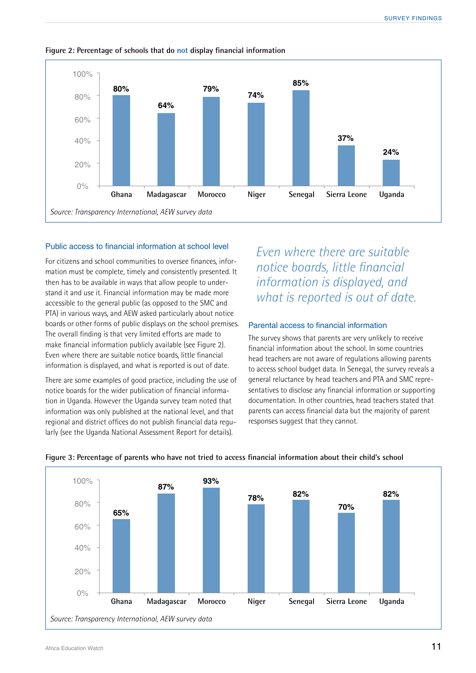

**Figure 2: Percentage of schools that do not display financial information**

#### Public access to financial information at school level

For citizens and school communities to oversee finances, information must be complete, timely and consistently presented. It then has to be available in ways that allow people to understand it and use it. Financial information may be made more accessible to the general public (as opposed to the SMC and PTA) in various ways, and AEW asked particularly about notice boards or other forms of public displays on the school premises. The overall finding is that very limited efforts are made to make financial information publicly available (see Figure 2). Even where there are suitable notice boards, little financial information is displayed, and what is reported is out of date.

There are some examples of good practice, including the use of notice boards for the wider publication of financial information in Uganda. However the Uganda survey team noted that information was only published at the national level, and that regional and district offices do not publish financial data regularly (see the Uganda National Assessment Report for details).

*Even where there are suitable notice boards, little financial information is displayed, and what is reported is out of date.*

#### Parental access to financial information

The survey shows that parents are very unlikely to receive financial information about the school. In some countries head teachers are not aware of regulations allowing parents to access school budget data. In Senegal, the survey reveals a general reluctance by head teachers and PTA and SMC representatives to disclose any financial information or supporting documentation. In other countries, head teachers stated that parents can access financial data but the majority of parent responses suggest that they cannot.



#### **Figure 3: Percentage of parents who have not tried to access financial information about their child's school**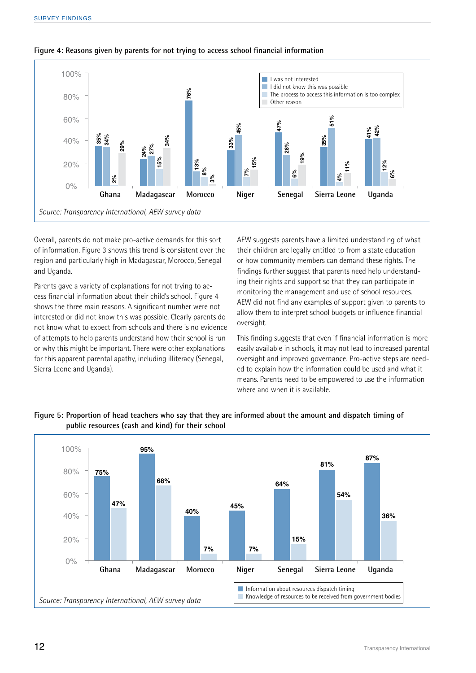

#### **Figure 4: Reasons given by parents for not trying to access school financial information**

Overall, parents do not make pro-active demands for this sort of information. Figure 3 shows this trend is consistent over the region and particularly high in Madagascar, Morocco, Senegal and Uganda.

Parents gave a variety of explanations for not trying to access financial information about their child's school. Figure 4 shows the three main reasons. A significant number were not interested or did not know this was possible. Clearly parents do not know what to expect from schools and there is no evidence of attempts to help parents understand how their school is run or why this might be important. There were other explanations for this apparent parental apathy, including illiteracy (Senegal, Sierra Leone and Uganda).

AEW suggests parents have a limited understanding of what their children are legally entitled to from a state education or how community members can demand these rights. The findings further suggest that parents need help understanding their rights and support so that they can participate in monitoring the management and use of school resources. AEW did not find any examples of support given to parents to allow them to interpret school budgets or influence financial oversight.

This finding suggests that even if financial information is more easily available in schools, it may not lead to increased parental oversight and improved governance. Pro-active steps are needed to explain how the information could be used and what it means. Parents need to be empowered to use the information where and when it is available.

#### **Figure 5: Proportion of head teachers who say that they are informed about the amount and dispatch timing of public resources (cash and kind) for their school**

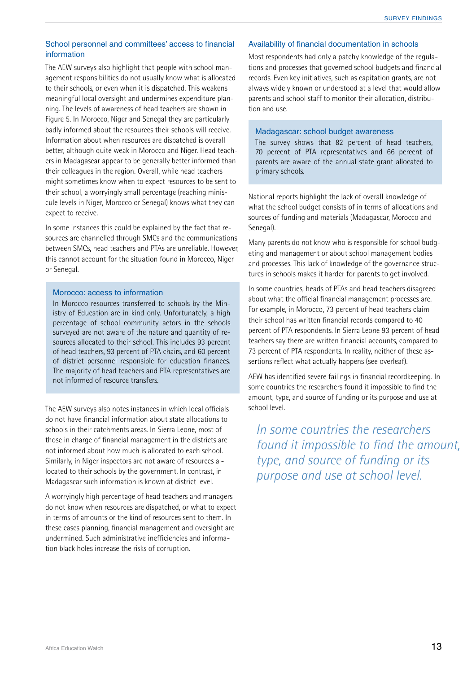#### School personnel and committees' access to financial information

The AEW surveys also highlight that people with school management responsibilities do not usually know what is allocated to their schools, or even when it is dispatched. This weakens meaningful local oversight and undermines expenditure planning. The levels of awareness of head teachers are shown in Figure 5. In Morocco, Niger and Senegal they are particularly badly informed about the resources their schools will receive. Information about when resources are dispatched is overall better, although quite weak in Morocco and Niger. Head teachers in Madagascar appear to be generally better informed than their colleagues in the region. Overall, while head teachers might sometimes know when to expect resources to be sent to their school, a worryingly small percentage (reaching miniscule levels in Niger, Morocco or Senegal) knows what they can expect to receive.

In some instances this could be explained by the fact that resources are channelled through SMCs and the communications between SMCs, head teachers and PTAs are unreliable. However, this cannot account for the situation found in Morocco, Niger or Senegal.

#### Morocco: access to information

In Morocco resources transferred to schools by the Ministry of Education are in kind only. Unfortunately, a high percentage of school community actors in the schools surveyed are not aware of the nature and quantity of resources allocated to their school. This includes 93 percent of head teachers, 93 percent of PTA chairs, and 60 percent of district personnel responsible for education finances. The majority of head teachers and PTA representatives are not informed of resource transfers.

The AEW surveys also notes instances in which local officials do not have financial information about state allocations to schools in their catchments areas. In Sierra Leone, most of those in charge of financial management in the districts are not informed about how much is allocated to each school. Similarly, in Niger inspectors are not aware of resources allocated to their schools by the government. In contrast, in Madagascar such information is known at district level.

A worryingly high percentage of head teachers and managers do not know when resources are dispatched, or what to expect in terms of amounts or the kind of resources sent to them. In these cases planning, financial management and oversight are undermined. Such administrative inefficiencies and information black holes increase the risks of corruption.

#### Availability of financial documentation in schools

Most respondents had only a patchy knowledge of the regulations and processes that governed school budgets and financial records. Even key initiatives, such as capitation grants, are not always widely known or understood at a level that would allow parents and school staff to monitor their allocation, distribution and use.

#### Madagascar: school budget awareness

The survey shows that 82 percent of head teachers, 70 percent of PTA representatives and 66 percent of parents are aware of the annual state grant allocated to primary schools.

National reports highlight the lack of overall knowledge of what the school budget consists of in terms of allocations and sources of funding and materials (Madagascar, Morocco and Senegal).

Many parents do not know who is responsible for school budgeting and management or about school management bodies and processes. This lack of knowledge of the governance structures in schools makes it harder for parents to get involved.

In some countries, heads of PTAs and head teachers disagreed about what the official financial management processes are. For example, in Morocco, 73 percent of head teachers claim their school has written financial records compared to 40 percent of PTA respondents. In Sierra Leone 93 percent of head teachers say there are written financial accounts, compared to 73 percent of PTA respondents. In reality, neither of these assertions reflect what actually happens (see overleaf).

AEW has identified severe failings in financial recordkeeping. In some countries the researchers found it impossible to find the amount, type, and source of funding or its purpose and use at school level.

*In some countries the researchers found it impossible to find the amount, type, and source of funding or its purpose and use at school level.*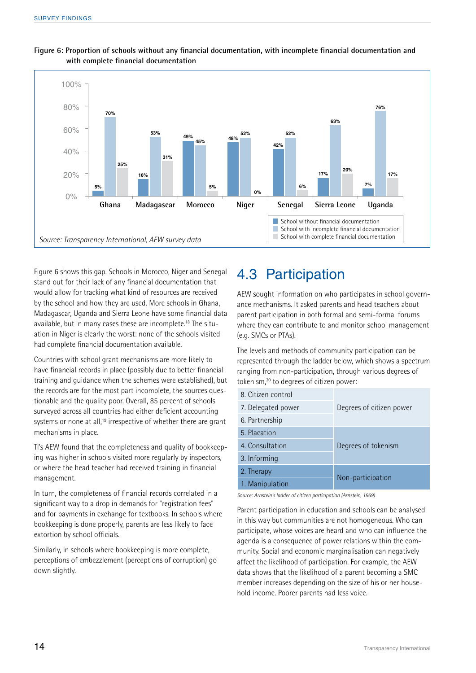

#### **Figure 6: Proportion of schools without any financial documentation, with incomplete financial documentation and with complete financial documentation**

Figure 6 shows this gap. Schools in Morocco, Niger and Senegal stand out for their lack of any financial documentation that would allow for tracking what kind of resources are received by the school and how they are used. More schools in Ghana, Madagascar, Uganda and Sierra Leone have some financial data available, but in many cases these are incomplete.18 The situation in Niger is clearly the worst: none of the schools visited had complete financial documentation available.

Countries with school grant mechanisms are more likely to have financial records in place (possibly due to better financial training and guidance when the schemes were established), but the records are for the most part incomplete, the sources questionable and the quality poor. Overall, 85 percent of schools surveyed across all countries had either deficient accounting systems or none at all,<sup>19</sup> irrespective of whether there are grant mechanisms in place.

TI's AEW found that the completeness and quality of bookkeeping was higher in schools visited more regularly by inspectors, or where the head teacher had received training in financial management.

In turn, the completeness of financial records correlated in a significant way to a drop in demands for "registration fees" and for payments in exchange for textbooks. In schools where bookkeeping is done properly, parents are less likely to face extortion by school officials.

Similarly, in schools where bookkeeping is more complete, perceptions of embezzlement (perceptions of corruption) go down slightly.

### 4.3 Participation

AEW sought information on who participates in school governance mechanisms. It asked parents and head teachers about parent participation in both formal and semi-formal forums where they can contribute to and monitor school management (e.g. SMCs or PTAs).

The levels and methods of community participation can be represented through the ladder below, which shows a spectrum ranging from non-participation, through various degrees of tokenism,20 to degrees of citizen power:

| 8. Citizen control |                          |  |  |  |
|--------------------|--------------------------|--|--|--|
| 7. Delegated power | Degrees of citizen power |  |  |  |
| 6. Partnership     |                          |  |  |  |
| 5. Placation       |                          |  |  |  |
| 4. Consultation    | Degrees of tokenism      |  |  |  |
| 3. Informing       |                          |  |  |  |
| 2. Therapy         |                          |  |  |  |
| 1. Manipulation    | Non-participation        |  |  |  |

*Source: Arnstein's ladder of citizen participation (Arnstein, 1969)*

Parent participation in education and schools can be analysed in this way but communities are not homogeneous. Who can participate, whose voices are heard and who can influence the agenda is a consequence of power relations within the community. Social and economic marginalisation can negatively affect the likelihood of participation. For example, the AEW data shows that the likelihood of a parent becoming a SMC member increases depending on the size of his or her household income. Poorer parents had less voice.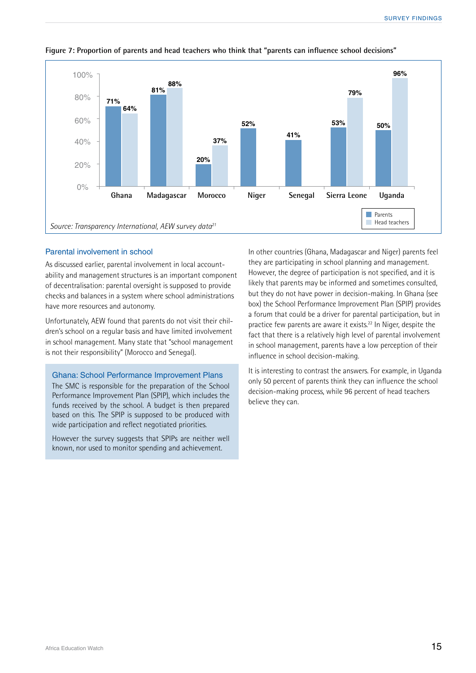

#### **Figure 7: Proportion of parents and head teachers who think that "parents can influence school decisions"**

#### Parental involvement in school

As discussed earlier, parental involvement in local accountability and management structures is an important component of decentralisation: parental oversight is supposed to provide checks and balances in a system where school administrations have more resources and autonomy.

Unfortunately, AEW found that parents do not visit their children's school on a regular basis and have limited involvement in school management. Many state that "school management is not their responsibility" (Morocco and Senegal).

#### Ghana: School Performance Improvement Plans

The SMC is responsible for the preparation of the School Performance Improvement Plan (SPIP), which includes the funds received by the school. A budget is then prepared based on this. The SPIP is supposed to be produced with wide participation and reflect negotiated priorities.

However the survey suggests that SPIPs are neither well known, nor used to monitor spending and achievement.

In other countries (Ghana, Madagascar and Niger) parents feel they are participating in school planning and management. However, the degree of participation is not specified, and it is likely that parents may be informed and sometimes consulted, but they do not have power in decision-making. In Ghana (see box) the School Performance Improvement Plan (SPIP) provides a forum that could be a driver for parental participation, but in practice few parents are aware it exists.22 In Niger, despite the fact that there is a relatively high level of parental involvement in school management, parents have a low perception of their influence in school decision-making.

It is interesting to contrast the answers. For example, in Uganda only 50 percent of parents think they can influence the school decision-making process, while 96 percent of head teachers believe they can.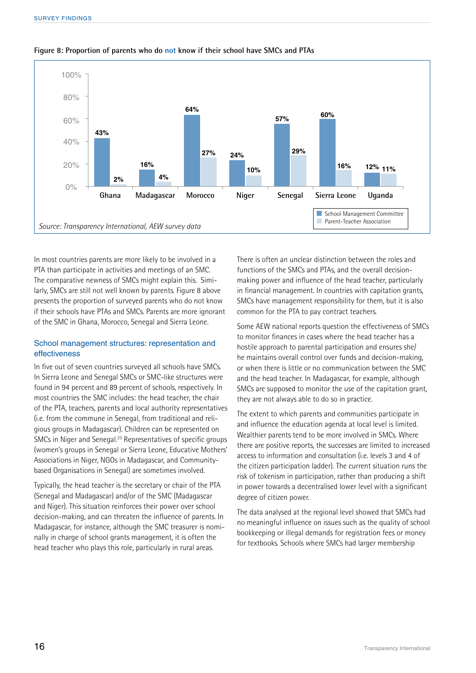

#### **Figure 8: Proportion of parents who do not know if their school have SMCs and PTAs**

In most countries parents are more likely to be involved in a PTA than participate in activities and meetings of an SMC. The comparative newness of SMCs might explain this. Similarly, SMCs are still not well known by parents. Figure 8 above presents the proportion of surveyed parents who do not know if their schools have PTAs and SMCs. Parents are more ignorant of the SMC in Ghana, Morocco, Senegal and Sierra Leone.

#### School management structures: representation and effectiveness

In five out of seven countries surveyed all schools have SMCs. In Sierra Leone and Senegal SMCs or SMC-like structures were found in 94 percent and 89 percent of schools, respectively. In most countries the SMC includes: the head teacher, the chair of the PTA, teachers, parents and local authority representatives (i.e. from the commune in Senegal, from traditional and religious groups in Madagascar). Children can be represented on SMCs in Niger and Senegal.23 Representatives of specific groups (women's groups in Senegal or Sierra Leone, Educative Mothers' Associations in Niger, NGOs in Madagascar, and Communitybased Organisations in Senegal) are sometimes involved.

Typically, the head teacher is the secretary or chair of the PTA (Senegal and Madagascar) and/or of the SMC (Madagascar and Niger). This situation reinforces their power over school decision-making, and can threaten the influence of parents. In Madagascar, for instance, although the SMC treasurer is nominally in charge of school grants management, it is often the head teacher who plays this role, particularly in rural areas.

There is often an unclear distinction between the roles and functions of the SMCs and PTAs, and the overall decisionmaking power and influence of the head teacher, particularly in financial management. In countries with capitation grants, SMCs have management responsibility for them, but it is also common for the PTA to pay contract teachers.

Some AEW national reports question the effectiveness of SMCs to monitor finances in cases where the head teacher has a hostile approach to parental participation and ensures she/ he maintains overall control over funds and decision-making, or when there is little or no communication between the SMC and the head teacher. In Madagascar, for example, although SMCs are supposed to monitor the use of the capitation grant, they are not always able to do so in practice.

The extent to which parents and communities participate in and influence the education agenda at local level is limited. Wealthier parents tend to be more involved in SMCs. Where there are positive reports, the successes are limited to increased access to information and consultation (i.e. levels 3 and 4 of the citizen participation ladder). The current situation runs the risk of tokenism in participation, rather than producing a shift in power towards a decentralised lower level with a significant degree of citizen power.

The data analysed at the regional level showed that SMCs had no meaningful influence on issues such as the quality of school bookkeeping or illegal demands for registration fees or money for textbooks. Schools where SMCs had larger membership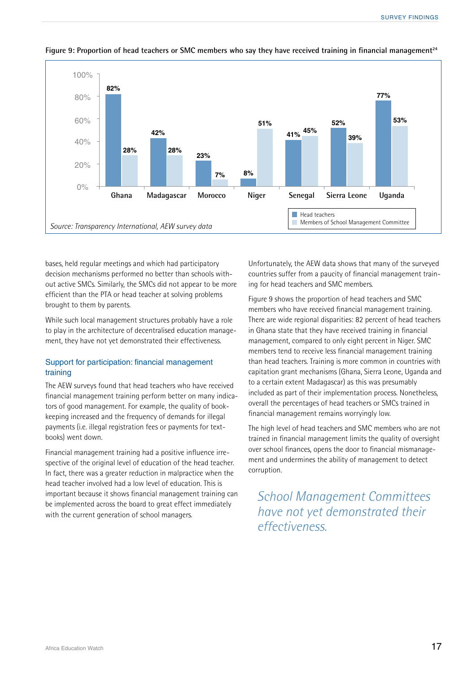

#### Figure 9: Proportion of head teachers or SMC members who say they have received training in financial management<sup>24</sup>

bases, held regular meetings and which had participatory decision mechanisms performed no better than schools without active SMCs. Similarly, the SMCs did not appear to be more efficient than the PTA or head teacher at solving problems brought to them by parents.

While such local management structures probably have a role to play in the architecture of decentralised education management, they have not yet demonstrated their effectiveness.

#### Support for participation: financial management training

The AEW surveys found that head teachers who have received financial management training perform better on many indicators of good management. For example, the quality of bookkeeping increased and the frequency of demands for illegal payments (i.e. illegal registration fees or payments for textbooks) went down.

Financial management training had a positive influence irrespective of the original level of education of the head teacher. In fact, there was a greater reduction in malpractice when the head teacher involved had a low level of education. This is important because it shows financial management training can be implemented across the board to great effect immediately with the current generation of school managers.

Unfortunately, the AEW data shows that many of the surveyed countries suffer from a paucity of financial management training for head teachers and SMC members.

Figure 9 shows the proportion of head teachers and SMC members who have received financial management training. There are wide regional disparities: 82 percent of head teachers in Ghana state that they have received training in financial management, compared to only eight percent in Niger. SMC members tend to receive less financial management training than head teachers. Training is more common in countries with capitation grant mechanisms (Ghana, Sierra Leone, Uganda and to a certain extent Madagascar) as this was presumably included as part of their implementation process. Nonetheless, overall the percentages of head teachers or SMCs trained in financial management remains worryingly low.

The high level of head teachers and SMC members who are not trained in financial management limits the quality of oversight over school finances, opens the door to financial mismanagement and undermines the ability of management to detect corruption.

*School Management Committees have not yet demonstrated their effectiveness.*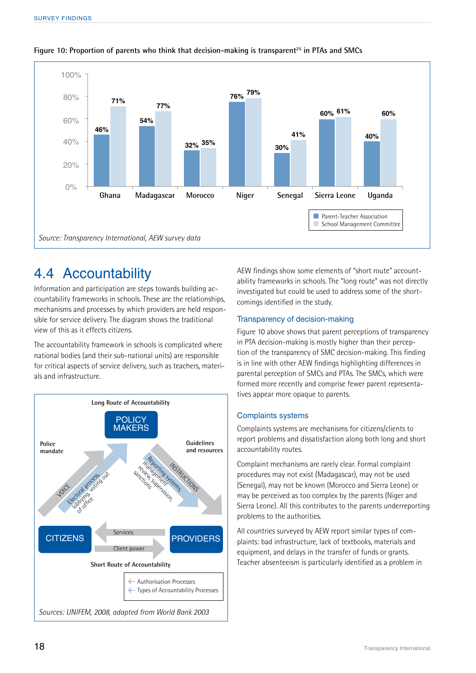

#### **Figure 10: Proportion of parents who think that decision-making is transparent25 in PTAs and SMCs**

### 4.4 Accountability

Information and participation are steps towards building accountability frameworks in schools. These are the relationships, mechanisms and processes by which providers are held responsible for service delivery. The diagram shows the traditional view of this as it effects citizens.

The accountability framework in schools is complicated where national bodies (and their sub-national units) are responsible for critical aspects of service delivery, such as teachers, materials and infrastructure.



AEW findings show some elements of "short route" accountability frameworks in schools. The "long route" was not directly investigated but could be used to address some of the shortcomings identified in the study.

#### Transparency of decision-making

Figure 10 above shows that parent perceptions of transparency in PTA decision-making is mostly higher than their perception of the transparency of SMC decision-making. This finding is in line with other AEW findings highlighting differences in parental perception of SMCs and PTAs. The SMCs, which were formed more recently and comprise fewer parent representatives appear more opaque to parents.

#### Complaints systems

Complaints systems are mechanisms for citizens/clients to report problems and dissatisfaction along both long and short accountability routes.

Complaint mechanisms are rarely clear. Formal complaint procedures may not exist (Madagascar), may not be used (Senegal), may not be known (Morocco and Sierra Leone) or may be perceived as too complex by the parents (Niger and Sierra Leone). All this contributes to the parents underreporting problems to the authorities.

All countries surveyed by AEW report similar types of complaints: bad infrastructure, lack of textbooks, materials and equipment, and delays in the transfer of funds or grants. Teacher absenteeism is particularly identified as a problem in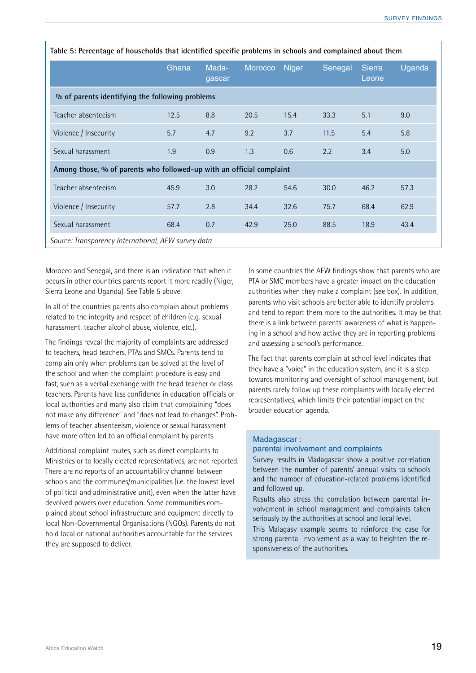| Table 5: Percentage of households that identified specific problems in schools and complained about them |       |                 |         |              |         |                 |        |  |
|----------------------------------------------------------------------------------------------------------|-------|-----------------|---------|--------------|---------|-----------------|--------|--|
|                                                                                                          | Ghana | Mada-<br>gascar | Morocco | <b>Niger</b> | Senegal | Sierra<br>Leone | Uganda |  |
| % of parents identifying the following problems                                                          |       |                 |         |              |         |                 |        |  |
| Teacher absenteeism                                                                                      | 12.5  | 8.8             | 20.5    | 15.4         | 33.3    | 5.1             | 9.0    |  |
| Violence / Insecurity                                                                                    | 5.7   | 4.7             | 9.2     | 3.7          | 11.5    | 5.4             | 5.8    |  |
| Sexual harassment                                                                                        | 1.9   | 0.9             | 1.3     | 0.6          | 2.2     | 3.4             | 5.0    |  |
| Among those, % of parents who followed-up with an official complaint                                     |       |                 |         |              |         |                 |        |  |
| Teacher absenteeism                                                                                      | 45.9  | 3.0             | 28.2    | 54.6         | 30.0    | 46.2            | 57.3   |  |
| Violence / Insecurity                                                                                    | 57.7  | 2.8             | 34.4    | 32.6         | 75.7    | 68.4            | 62.9   |  |
| Sexual harassment                                                                                        | 68.4  | 0.7             | 42.9    | 25.0         | 88.5    | 18.9            | 43.4   |  |
| Source: Transparency International, AEW survey data                                                      |       |                 |         |              |         |                 |        |  |

Morocco and Senegal, and there is an indication that when it occurs in other countries parents report it more readily (Niger, Sierra Leone and Uganda). See Table 5 above.

In all of the countries parents also complain about problems related to the integrity and respect of children (e.g. sexual harassment, teacher alcohol abuse, violence, etc.).

The findings reveal the majority of complaints are addressed to teachers, head teachers, PTAs and SMCs. Parents tend to complain only when problems can be solved at the level of the school and when the complaint procedure is easy and fast, such as a verbal exchange with the head teacher or class teachers. Parents have less confidence in education officials or local authorities and many also claim that complaining "does not make any difference" and "does not lead to changes". Problems of teacher absenteeism, violence or sexual harassment have more often led to an official complaint by parents.

Additional complaint routes, such as direct complaints to Ministries or to locally elected representatives, are not reported. There are no reports of an accountability channel between schools and the communes/municipalities (i.e. the lowest level of political and administrative unit), even when the latter have devolved powers over education. Some communities complained about school infrastructure and equipment directly to local Non-Governmental Organisations (NGOs). Parents do not hold local or national authorities accountable for the services they are supposed to deliver.

In some countries the AEW findings show that parents who are PTA or SMC members have a greater impact on the education authorities when they make a complaint (see box). In addition, parents who visit schools are better able to identify problems and tend to report them more to the authorities. It may be that there is a link between parents' awareness of what is happening in a school and how active they are in reporting problems and assessing a school's performance.

The fact that parents complain at school level indicates that they have a "voice" in the education system, and it is a step towards monitoring and oversight of school management, but parents rarely follow up these complaints with locally elected representatives, which limits their potential impact on the broader education agenda.

#### Madagascar :

#### parental involvement and complaints

Survey results in Madagascar show a positive correlation between the number of parents' annual visits to schools and the number of education-related problems identified and followed up.

Results also stress the correlation between parental involvement in school management and complaints taken seriously by the authorities at school and local level.

This Malagasy example seems to reinforce the case for strong parental involvement as a way to heighten the responsiveness of the authorities.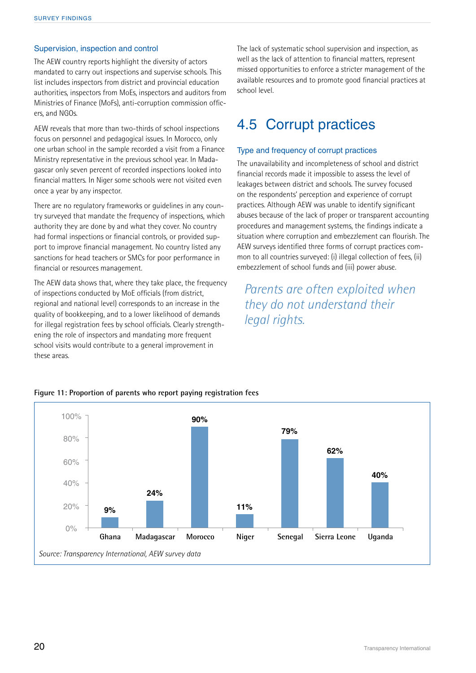#### Supervision, inspection and control

The AEW country reports highlight the diversity of actors mandated to carry out inspections and supervise schools. This list includes inspectors from district and provincial education authorities, inspectors from MoEs, inspectors and auditors from Ministries of Finance (MoFs), anti-corruption commission officers, and NGOs.

AEW reveals that more than two-thirds of school inspections focus on personnel and pedagogical issues. In Morocco, only one urban school in the sample recorded a visit from a Finance Ministry representative in the previous school year. In Madagascar only seven percent of recorded inspections looked into financial matters. In Niger some schools were not visited even once a year by any inspector.

There are no regulatory frameworks or guidelines in any country surveyed that mandate the frequency of inspections, which authority they are done by and what they cover. No country had formal inspections or financial controls, or provided support to improve financial management. No country listed any sanctions for head teachers or SMCs for poor performance in financial or resources management.

The AEW data shows that, where they take place, the frequency of inspections conducted by MoE officials (from district, regional and national level) corresponds to an increase in the quality of bookkeeping, and to a lower likelihood of demands for illegal registration fees by school officials. Clearly strengthening the role of inspectors and mandating more frequent school visits would contribute to a general improvement in these areas.

The lack of systematic school supervision and inspection, as well as the lack of attention to financial matters, represent missed opportunities to enforce a stricter management of the available resources and to promote good financial practices at school level.

### 4.5 Corrupt practices

#### Type and frequency of corrupt practices

The unavailability and incompleteness of school and district financial records made it impossible to assess the level of leakages between district and schools. The survey focused on the respondents' perception and experience of corrupt practices. Although AEW was unable to identify significant abuses because of the lack of proper or transparent accounting procedures and management systems, the findings indicate a situation where corruption and embezzlement can flourish. The AEW surveys identified three forms of corrupt practices common to all countries surveyed: (i) illegal collection of fees, (ii) embezzlement of school funds and (iii) power abuse.

### *Parents are often exploited when they do not understand their legal rights.*



#### **Figure 11: Proportion of parents who report paying registration fees**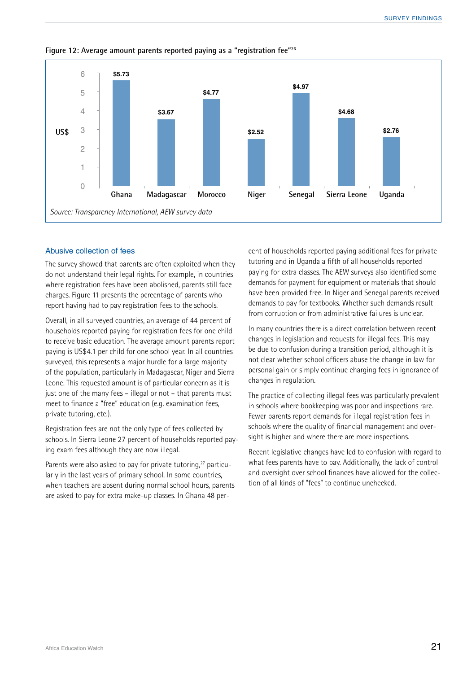

**Figure 12: Average amount parents reported paying as a "registration fee"26**

#### Abusive collection of fees

The survey showed that parents are often exploited when they do not understand their legal rights. For example, in countries where registration fees have been abolished, parents still face charges. Figure 11 presents the percentage of parents who report having had to pay registration fees to the schools.

Overall, in all surveyed countries, an average of 44 percent of households reported paying for registration fees for one child to receive basic education. The average amount parents report paying is US\$4.1 per child for one school year. In all countries surveyed, this represents a major hurdle for a large majority of the population, particularly in Madagascar, Niger and Sierra Leone. This requested amount is of particular concern as it is just one of the many fees – illegal or not – that parents must meet to finance a "free" education (e.g. examination fees, private tutoring, etc.).

Registration fees are not the only type of fees collected by schools. In Sierra Leone 27 percent of households reported paying exam fees although they are now illegal.

Parents were also asked to pay for private tutoring,<sup>27</sup> particularly in the last years of primary school. In some countries, when teachers are absent during normal school hours, parents are asked to pay for extra make-up classes. In Ghana 48 percent of households reported paying additional fees for private tutoring and in Uganda a fifth of all households reported paying for extra classes. The AEW surveys also identified some demands for payment for equipment or materials that should have been provided free. In Niger and Senegal parents received demands to pay for textbooks. Whether such demands result from corruption or from administrative failures is unclear.

In many countries there is a direct correlation between recent changes in legislation and requests for illegal fees. This may be due to confusion during a transition period, although it is not clear whether school officers abuse the change in law for personal gain or simply continue charging fees in ignorance of changes in regulation.

The practice of collecting illegal fees was particularly prevalent in schools where bookkeeping was poor and inspections rare. Fewer parents report demands for illegal registration fees in schools where the quality of financial management and oversight is higher and where there are more inspections.

Recent legislative changes have led to confusion with regard to what fees parents have to pay. Additionally, the lack of control and oversight over school finances have allowed for the collection of all kinds of "fees" to continue unchecked.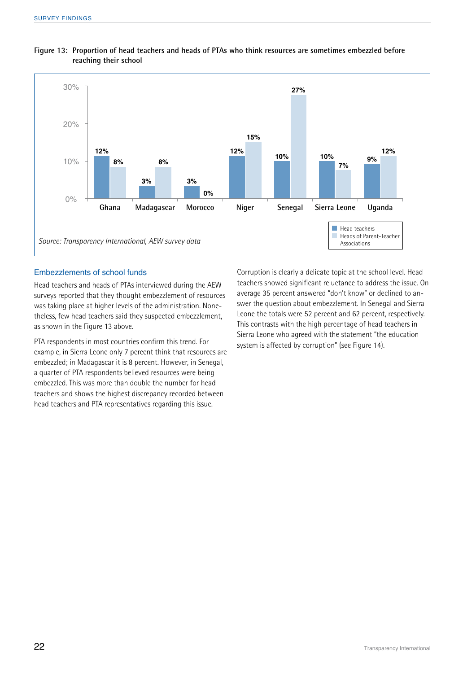

#### **Figure 13: Proportion of head teachers and heads of PTAs who think resources are sometimes embezzled before reaching their school**

#### Embezzlements of school funds

Head teachers and heads of PTAs interviewed during the AEW surveys reported that they thought embezzlement of resources was taking place at higher levels of the administration. Nonetheless, few head teachers said they suspected embezzlement, as shown in the Figure 13 above.

PTA respondents in most countries confirm this trend. For example, in Sierra Leone only 7 percent think that resources are embezzled; in Madagascar it is 8 percent. However, in Senegal, a quarter of PTA respondents believed resources were being embezzled. This was more than double the number for head teachers and shows the highest discrepancy recorded between head teachers and PTA representatives regarding this issue.

Corruption is clearly a delicate topic at the school level. Head teachers showed significant reluctance to address the issue. On average 35 percent answered "don't know" or declined to answer the question about embezzlement. In Senegal and Sierra Leone the totals were 52 percent and 62 percent, respectively. This contrasts with the high percentage of head teachers in Sierra Leone who agreed with the statement "the education system is affected by corruption" (see Figure 14).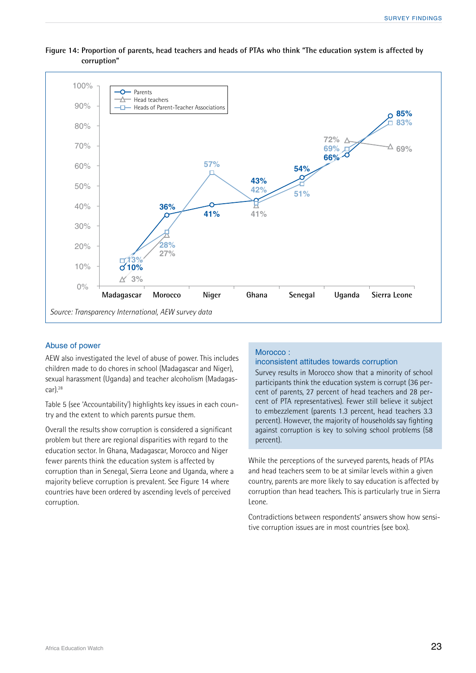

#### **Figure 14: Proportion of parents, head teachers and heads of PTAs who think "The education system is affected by corruption"**

#### Abuse of power

AEW also investigated the level of abuse of power. This includes children made to do chores in school (Madagascar and Niger), sexual harassment (Uganda) and teacher alcoholism (Madagas $car)$ .<sup>28</sup>

Table 5 (see 'Accountability') highlights key issues in each country and the extent to which parents pursue them.

Overall the results show corruption is considered a significant problem but there are regional disparities with regard to the education sector. In Ghana, Madagascar, Morocco and Niger fewer parents think the education system is affected by corruption than in Senegal, Sierra Leone and Uganda, where a majority believe corruption is prevalent. See Figure 14 where countries have been ordered by ascending levels of perceived corruption.

#### Morocco :

#### inconsistent attitudes towards corruption

Survey results in Morocco show that a minority of school participants think the education system is corrupt (36 percent of parents, 27 percent of head teachers and 28 percent of PTA representatives). Fewer still believe it subject to embezzlement (parents 1.3 percent, head teachers 3.3 percent). However, the majority of households say fighting against corruption is key to solving school problems (58 percent).

While the perceptions of the surveyed parents, heads of PTAs and head teachers seem to be at similar levels within a given country, parents are more likely to say education is affected by corruption than head teachers. This is particularly true in Sierra Leone.

Contradictions between respondents' answers show how sensitive corruption issues are in most countries (see box).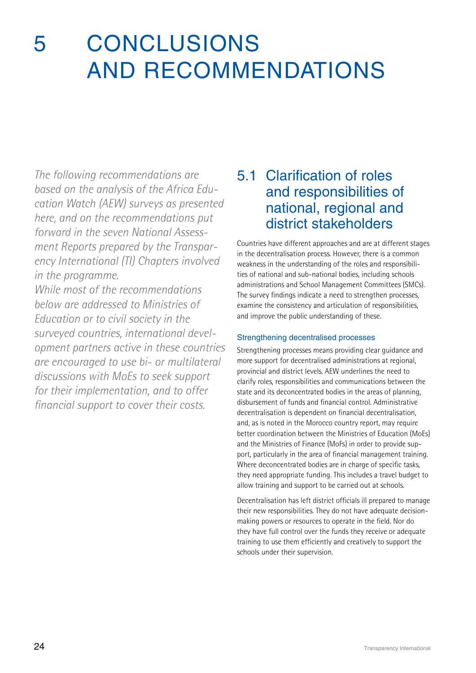## 5 Conclusions and recommendations

*The following recommendations are based on the analysis of the Africa Education Watch (AEW) surveys as presented here, and on the recommendations put forward in the seven National Assessment Reports prepared by the Transparency International (TI) Chapters involved in the programme.* 

*While most of the recommendations below are addressed to Ministries of Education or to civil society in the surveyed countries, international development partners active in these countries are encouraged to use bi- or multilateral discussions with MoEs to seek support for their implementation, and to offer financial support to cover their costs.* 

### 5.1 Clarification of roles and responsibilities of national, regional and district stakeholders

Countries have different approaches and are at different stages in the decentralisation process. However, there is a common weakness in the understanding of the roles and responsibilities of national and sub-national bodies, including schools administrations and School Management Committees (SMCs). The survey findings indicate a need to strengthen processes, examine the consistency and articulation of responsibilities, and improve the public understanding of these.

#### Strengthening decentralised processes

Strengthening processes means providing clear guidance and more support for decentralised administrations at regional, provincial and district levels. AEW underlines the need to clarify roles, responsibilities and communications between the state and its deconcentrated bodies in the areas of planning, disbursement of funds and financial control. Administrative decentralisation is dependent on financial decentralisation, and, as is noted in the Morocco country report, may require better coordination between the Ministries of Education (MoEs) and the Ministries of Finance (MoFs) in order to provide support, particularly in the area of financial management training. Where deconcentrated bodies are in charge of specific tasks, they need appropriate funding. This includes a travel budget to allow training and support to be carried out at schools.

Decentralisation has left district officials ill prepared to manage their new responsibilities. They do not have adequate decisionmaking powers or resources to operate in the field. Nor do they have full control over the funds they receive or adequate training to use them efficiently and creatively to support the schools under their supervision.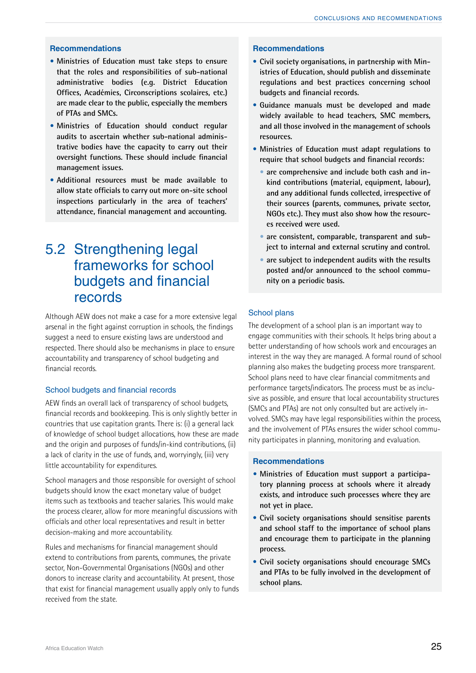#### **Recommendations**

- **• Ministries of Education must take steps to ensure that the roles and responsibilities of sub-national administrative bodies (e.g. District Education Offices, Académies, Circonscriptions scolaires, etc.) are made clear to the public, especially the members of PTAs and SMCs.**
- **• Ministries of Education should conduct regular audits to ascertain whether sub-national administrative bodies have the capacity to carry out their oversight functions. These should include financial management issues.**
- **• Additional resources must be made available to allow state officials to carry out more on-site school inspections particularly in the area of teachers' attendance, financial management and accounting.**

### 5.2 Strengthening legal frameworks for school budgets and financial records

Although AEW does not make a case for a more extensive legal arsenal in the fight against corruption in schools, the findings suggest a need to ensure existing laws are understood and respected. There should also be mechanisms in place to ensure accountability and transparency of school budgeting and financial records.

#### School budgets and financial records

AEW finds an overall lack of transparency of school budgets, financial records and bookkeeping. This is only slightly better in countries that use capitation grants. There is: (i) a general lack of knowledge of school budget allocations, how these are made and the origin and purposes of funds/in-kind contributions, (ii) a lack of clarity in the use of funds, and, worryingly, (iii) very little accountability for expenditures.

School managers and those responsible for oversight of school budgets should know the exact monetary value of budget items such as textbooks and teacher salaries. This would make the process clearer, allow for more meaningful discussions with officials and other local representatives and result in better decision-making and more accountability.

Rules and mechanisms for financial management should extend to contributions from parents, communes, the private sector, Non-Governmental Organisations (NGOs) and other donors to increase clarity and accountability. At present, those that exist for financial management usually apply only to funds received from the state.

#### **Recommendations**

- • **Civil society organisations, in partnership with Ministries of Education, should publish and disseminate regulations and best practices concerning school budgets and financial records.**
- • **Guidance manuals must be developed and made widely available to head teachers, SMC members, and all those involved in the management of schools resources.**
- • **Ministries of Education must adapt regulations to require that school budgets and financial records:** 
	- **• are comprehensive and include both cash and inkind contributions (material, equipment, labour), and any additional funds collected, irrespective of their sources (parents, communes, private sector, NGOs etc.). They must also show how the resources received were used.**
	- **• are consistent, comparable, transparent and subject to internal and external scrutiny and control.**
	- **• are subject to independent audits with the results posted and/or announced to the school community on a periodic basis.**

#### School plans

The development of a school plan is an important way to engage communities with their schools. It helps bring about a better understanding of how schools work and encourages an interest in the way they are managed. A formal round of school planning also makes the budgeting process more transparent. School plans need to have clear financial commitments and performance targets/indicators. The process must be as inclusive as possible, and ensure that local accountability structures (SMCs and PTAs) are not only consulted but are actively involved. SMCs may have legal responsibilities within the process, and the involvement of PTAs ensures the wider school community participates in planning, monitoring and evaluation.

#### **Recommendations**

- **• Ministries of Education must support a participatory planning process at schools where it already exists, and introduce such processes where they are not yet in place.**
- • **Civil society organisations should sensitise parents and school staff to the importance of school plans and encourage them to participate in the planning process.**
- • **Civil society organisations should encourage SMCs and PTAs to be fully involved in the development of school plans.**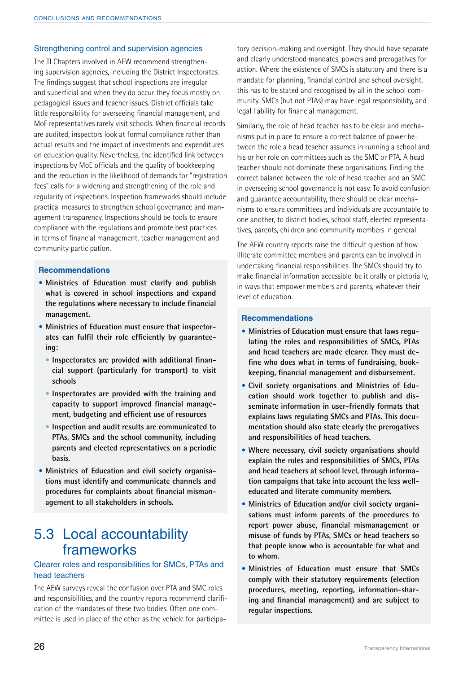#### Strengthening control and supervision agencies

The TI Chapters involved in AEW recommend strengthening supervision agencies, including the District Inspectorates. The findings suggest that school inspections are irregular and superficial and when they do occur they focus mostly on pedagogical issues and teacher issues. District officials take little responsibility for overseeing financial management, and MoF representatives rarely visit schools. When financial records are audited, inspectors look at formal compliance rather than actual results and the impact of investments and expenditures on education quality. Nevertheless, the identified link between inspections by MoE officials and the quality of bookkeeping and the reduction in the likelihood of demands for "registration fees" calls for a widening and strengthening of the role and regularity of inspections. Inspection frameworks should include practical measures to strengthen school governance and management transparency. Inspections should be tools to ensure compliance with the regulations and promote best practices in terms of financial management, teacher management and community participation.

#### **Recommendations**

- **• Ministries of Education must clarify and publish what is covered in school inspections and expand the regulations where necessary to include financial management.**
- **• Ministries of Education must ensure that inspectorates can fulfil their role efficiently by guaranteeing:**
	- **•** Inspectorates are provided with additional finan**cial support (particularly for transport) to visit schools**
	- **• Inspectorates are provided with the training and capacity to support improved financial management, budgeting and efficient use of resources**
	- **• Inspection and audit results are communicated to PTAs, SMCs and the school community, including parents and elected representatives on a periodic basis.**
- **• Ministries of Education and civil society organisations must identify and communicate channels and procedures for complaints about financial mismanagement to all stakeholders in schools.**

### 5.3 Local accountability frameworks

#### Clearer roles and responsibilities for SMCs, PTAs and head teachers

The AEW surveys reveal the confusion over PTA and SMC roles and responsibilities, and the country reports recommend clarification of the mandates of these two bodies. Often one committee is used in place of the other as the vehicle for participa-

tory decision-making and oversight. They should have separate and clearly understood mandates, powers and prerogatives for action. Where the existence of SMCs is statutory and there is a mandate for planning, financial control and school oversight, this has to be stated and recognised by all in the school community. SMCs (but not PTAs) may have legal responsibility, and legal liability for financial management.

Similarly, the role of head teacher has to be clear and mechanisms put in place to ensure a correct balance of power between the role a head teacher assumes in running a school and his or her role on committees such as the SMC or PTA. A head teacher should not dominate these organisations. Finding the correct balance between the role of head teacher and an SMC in overseeing school governance is not easy. To avoid confusion and guarantee accountability, there should be clear mechanisms to ensure committees and individuals are accountable to one another, to district bodies, school staff, elected representatives, parents, children and community members in general.

The AEW country reports raise the difficult question of how illiterate committee members and parents can be involved in undertaking financial responsibilities. The SMCs should try to make financial information accessible, be it orally or pictorially, in ways that empower members and parents, whatever their level of education.

#### **Recommendations**

- **• Ministries of Education must ensure that laws regulating the roles and responsibilities of SMCs, PTAs and head teachers are made clearer. They must define who does what in terms of fundraising, bookkeeping, financial management and disbursement.**
- **• Civil society organisations and Ministries of Education should work together to publish and disseminate information in user-friendly formats that explains laws regulating SMCs and PTAs. This documentation should also state clearly the prerogatives and responsibilities of head teachers.**
- **• Where necessary, civil society organisations should explain the roles and responsibilities of SMCs, PTAs and head teachers at school level, through information campaigns that take into account the less welleducated and literate community members.**
- **• Ministries of Education and/or civil society organisations must inform parents of the procedures to report power abuse, financial mismanagement or misuse of funds by PTAs, SMCs or head teachers so that people know who is accountable for what and to whom.**
- **• Ministries of Education must ensure that SMCs comply with their statutory requirements (election procedures, meeting, reporting, information-sharing and financial management) and are subject to regular inspections.**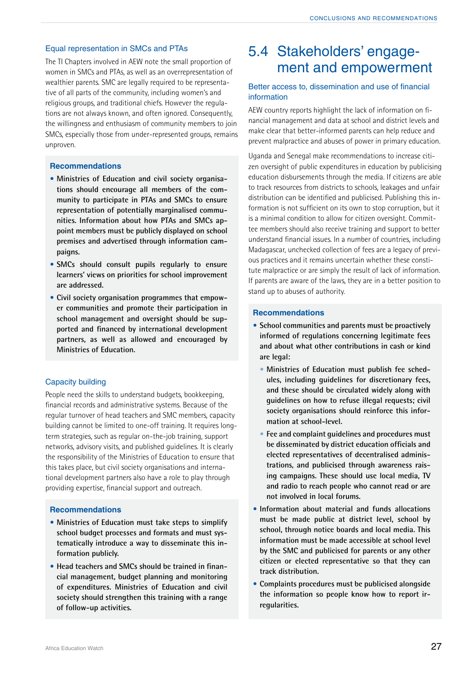#### Equal representation in SMCs and PTAs

The TI Chapters involved in AEW note the small proportion of women in SMCs and PTAs, as well as an overrepresentation of wealthier parents. SMC are legally required to be representative of all parts of the community, including women's and religious groups, and traditional chiefs. However the regulations are not always known, and often ignored. Consequently, the willingness and enthusiasm of community members to join SMCs, especially those from under-represented groups, remains unproven.

#### **Recommendations**

- **• Ministries of Education and civil society organisations should encourage all members of the community to participate in PTAs and SMCs to ensure representation of potentially marginalised communities. Information about how PTAs and SMCs appoint members must be publicly displayed on school premises and advertised through information campaigns.**
- **• SMCs should consult pupils regularly to ensure learners' views on priorities for school improvement are addressed.**
- **• Civil society organisation programmes that empower communities and promote their participation in school management and oversight should be supported and financed by international development partners, as well as allowed and encouraged by Ministries of Education.**

#### Capacity building

People need the skills to understand budgets, bookkeeping, financial records and administrative systems. Because of the regular turnover of head teachers and SMC members, capacity building cannot be limited to one-off training. It requires longterm strategies, such as regular on-the-job training, support networks, advisory visits, and published guidelines. It is clearly the responsibility of the Ministries of Education to ensure that this takes place, but civil society organisations and international development partners also have a role to play through providing expertise, financial support and outreach.

#### **Recommendations**

- **• Ministries of Education must take steps to simplify school budget processes and formats and must systematically introduce a way to disseminate this information publicly.**
- **• Head teachers and SMCs should be trained in financial management, budget planning and monitoring of expenditures. Ministries of Education and civil society should strengthen this training with a range of follow-up activities.**

### 5.4 Stakeholders' engagement and empowerment

#### Better access to, dissemination and use of financial information

AEW country reports highlight the lack of information on financial management and data at school and district levels and make clear that better-informed parents can help reduce and prevent malpractice and abuses of power in primary education.

Uganda and Senegal make recommendations to increase citizen oversight of public expenditures in education by publicising education disbursements through the media. If citizens are able to track resources from districts to schools, leakages and unfair distribution can be identified and publicised. Publishing this information is not sufficient on its own to stop corruption, but it is a minimal condition to allow for citizen oversight. Committee members should also receive training and support to better understand financial issues. In a number of countries, including Madagascar, unchecked collection of fees are a legacy of previous practices and it remains uncertain whether these constitute malpractice or are simply the result of lack of information. If parents are aware of the laws, they are in a better position to stand up to abuses of authority.

#### **Recommendations**

- **• School communities and parents must be proactively informed of regulations concerning legitimate fees and about what other contributions in cash or kind are legal:**
	- **• Ministries of Education must publish fee schedules, including guidelines for discretionary fees, and these should be circulated widely along with guidelines on how to refuse illegal requests; civil society organisations should reinforce this information at school-level.**
	- **• Fee and complaint guidelines and procedures must be disseminated by district education officials and elected representatives of decentralised administrations, and publicised through awareness raising campaigns. These should use local media, TV and radio to reach people who cannot read or are not involved in local forums.**
- **• Information about material and funds allocations must be made public at district level, school by school, through notice boards and local media. This information must be made accessible at school level by the SMC and publicised for parents or any other citizen or elected representative so that they can track distribution.**
- **• Complaints procedures must be publicised alongside the information so people know how to report irregularities.**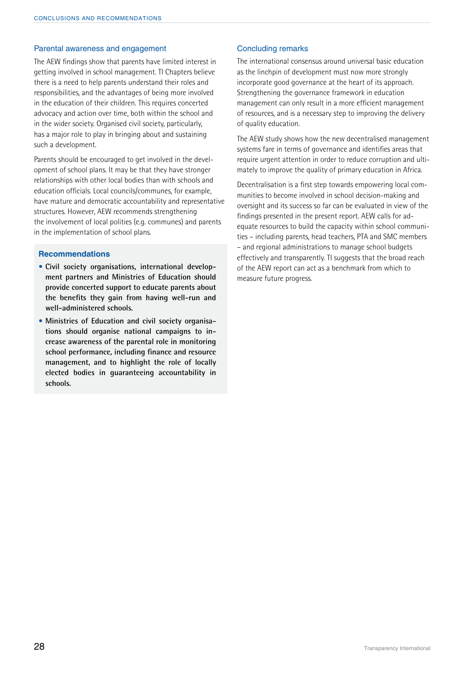#### Parental awareness and engagement

The AEW findings show that parents have limited interest in getting involved in school management. TI Chapters believe there is a need to help parents understand their roles and responsibilities, and the advantages of being more involved in the education of their children. This requires concerted advocacy and action over time, both within the school and in the wider society. Organised civil society, particularly, has a major role to play in bringing about and sustaining such a development.

Parents should be encouraged to get involved in the development of school plans. It may be that they have stronger relationships with other local bodies than with schools and education officials. Local councils/communes, for example, have mature and democratic accountability and representative structures. However, AEW recommends strengthening the involvement of local polities (e.g. communes) and parents in the implementation of school plans.

#### **Recommendations**

- **• Civil society organisations, international development partners and Ministries of Education should provide concerted support to educate parents about the benefits they gain from having well-run and well-administered schools.**
- **• Ministries of Education and civil society organisations should organise national campaigns to increase awareness of the parental role in monitoring school performance, including finance and resource management, and to highlight the role of locally elected bodies in guaranteeing accountability in schools.**

#### Concluding remarks

The international consensus around universal basic education as the linchpin of development must now more strongly incorporate good governance at the heart of its approach. Strengthening the governance framework in education management can only result in a more efficient management of resources, and is a necessary step to improving the delivery of quality education.

The AEW study shows how the new decentralised management systems fare in terms of governance and identifies areas that require urgent attention in order to reduce corruption and ultimately to improve the quality of primary education in Africa.

Decentralisation is a first step towards empowering local communities to become involved in school decision-making and oversight and its success so far can be evaluated in view of the findings presented in the present report. AEW calls for adequate resources to build the capacity within school communities – including parents, head teachers, PTA and SMC members – and regional administrations to manage school budgets effectively and transparently. TI suggests that the broad reach of the AEW report can act as a benchmark from which to measure future progress.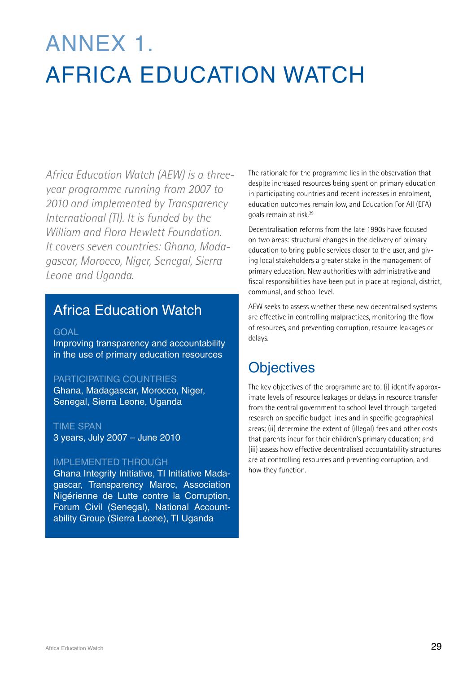# Annex 1. Africa Education Watch

*Africa Education Watch (AEW) is a threeyear programme running from 2007 to 2010 and implemented by Transparency International (TI). It is funded by the William and Flora Hewlett Foundation. It covers seven countries: Ghana, Madagascar, Morocco, Niger, Senegal, Sierra Leone and Uganda.* 

### Africa Education Watch

#### **GOAL**

Improving transparency and accountability in the use of primary education resources

#### PARTICIPATING COUNTRIES

Ghana, Madagascar, Morocco, Niger, Senegal, Sierra Leone, Uganda

#### TIME SPAN

3 years, July 2007 – June 2010

#### IMPLEMENTED THROUGH

Ghana Integrity Initiative, TI Initiative Madagascar, Transparency Maroc, Association Nigérienne de Lutte contre la Corruption, Forum Civil (Senegal), National Accountability Group (Sierra Leone), TI Uganda

The rationale for the programme lies in the observation that despite increased resources being spent on primary education in participating countries and recent increases in enrolment, education outcomes remain low, and Education For All (EFA) goals remain at risk.29

Decentralisation reforms from the late 1990s have focused on two areas: structural changes in the delivery of primary education to bring public services closer to the user, and giving local stakeholders a greater stake in the management of primary education. New authorities with administrative and fiscal responsibilities have been put in place at regional, district, communal, and school level.

AEW seeks to assess whether these new decentralised systems are effective in controlling malpractices, monitoring the flow of resources, and preventing corruption, resource leakages or delays.

### **Objectives**

The key objectives of the programme are to: (i) identify approximate levels of resource leakages or delays in resource transfer from the central government to school level through targeted research on specific budget lines and in specific geographical areas; (ii) determine the extent of (illegal) fees and other costs that parents incur for their children's primary education; and (iii) assess how effective decentralised accountability structures are at controlling resources and preventing corruption, and how they function.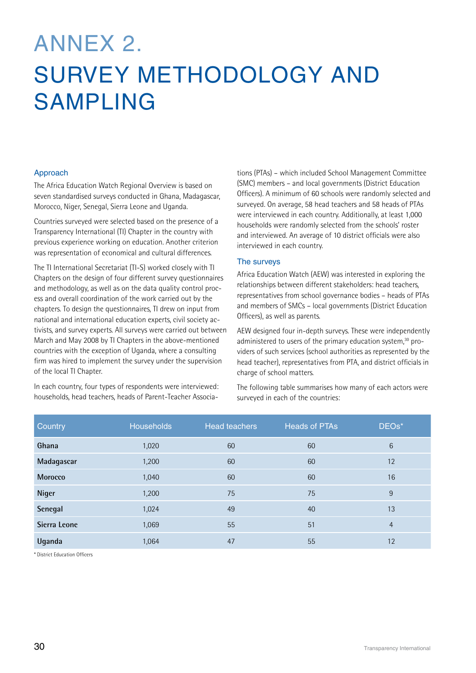## Annex 2. Survey methodology and sampling

#### Approach

The Africa Education Watch Regional Overview is based on seven standardised surveys conducted in Ghana, Madagascar, Morocco, Niger, Senegal, Sierra Leone and Uganda.

Countries surveyed were selected based on the presence of a Transparency International (TI) Chapter in the country with previous experience working on education. Another criterion was representation of economical and cultural differences.

The TI International Secretariat (TI-S) worked closely with TI Chapters on the design of four different survey questionnaires and methodology, as well as on the data quality control process and overall coordination of the work carried out by the chapters. To design the questionnaires, TI drew on input from national and international education experts, civil society activists, and survey experts. All surveys were carried out between March and May 2008 by TI Chapters in the above-mentioned countries with the exception of Uganda, where a consulting firm was hired to implement the survey under the supervision of the local TI Chapter.

In each country, four types of respondents were interviewed: households, head teachers, heads of Parent-Teacher Associa-

tions (PTAs) – which included School Management Committee (SMC) members – and local governments (District Education Officers). A minimum of 60 schools were randomly selected and surveyed. On average, 58 head teachers and 58 heads of PTAs were interviewed in each country. Additionally, at least 1,000 households were randomly selected from the schools' roster and interviewed. An average of 10 district officials were also interviewed in each country.

#### The surveys

Africa Education Watch (AEW) was interested in exploring the relationships between different stakeholders: head teachers, representatives from school governance bodies – heads of PTAs and members of SMCs – local governments (District Education Officers), as well as parents.

AEW designed four in-depth surveys. These were independently administered to users of the primary education system,<sup>30</sup> providers of such services (school authorities as represented by the head teacher), representatives from PTA, and district officials in charge of school matters.

The following table summarises how many of each actors were surveyed in each of the countries:

| Country      | <b>Households</b> | <b>Head teachers</b> | <b>Heads of PTAs</b> | DEOs*           |
|--------------|-------------------|----------------------|----------------------|-----------------|
| Ghana        | 1,020             | 60                   | 60                   | $6\phantom{1}6$ |
| Madagascar   | 1,200             | 60                   | 60                   | 12              |
| Morocco      | 1,040             | 60                   | 60                   | 16              |
| Niger        | 1,200             | 75                   | 75                   | 9               |
| Senegal      | 1,024             | 49                   | 40                   | 13              |
| Sierra Leone | 1,069             | 55                   | 51                   | $\overline{4}$  |
| Uganda       | 1,064             | 47                   | 55                   | 12              |

\* District Education Officers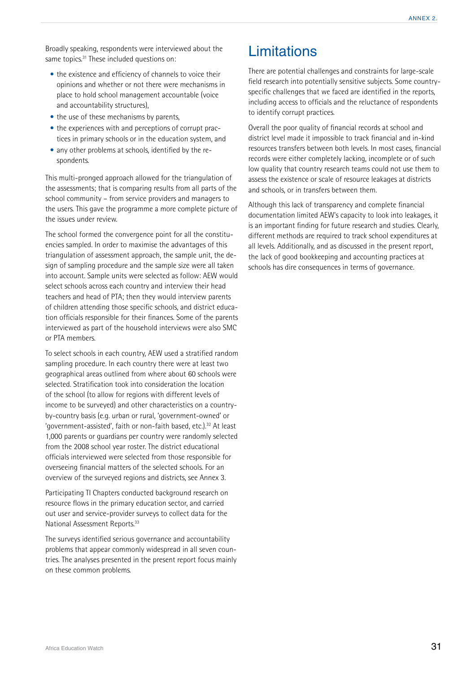Broadly speaking, respondents were interviewed about the same topics.<sup>31</sup> These included questions on:

- **•** the existence and efficiency of channels to voice their opinions and whether or not there were mechanisms in place to hold school management accountable (voice and accountability structures),
- the use of these mechanisms by parents.
- **•** the experiences with and perceptions of corrupt practices in primary schools or in the education system, and
- **•** any other problems at schools, identified by the respondents.

This multi-pronged approach allowed for the triangulation of the assessments; that is comparing results from all parts of the school community – from service providers and managers to the users. This gave the programme a more complete picture of the issues under review.

The school formed the convergence point for all the constituencies sampled. In order to maximise the advantages of this triangulation of assessment approach, the sample unit, the design of sampling procedure and the sample size were all taken into account. Sample units were selected as follow: AEW would select schools across each country and interview their head teachers and head of PTA; then they would interview parents of children attending those specific schools, and district education officials responsible for their finances. Some of the parents interviewed as part of the household interviews were also SMC or PTA members.

To select schools in each country, AEW used a stratified random sampling procedure. In each country there were at least two geographical areas outlined from where about 60 schools were selected. Stratification took into consideration the location of the school (to allow for regions with different levels of income to be surveyed) and other characteristics on a countryby-country basis (e.g. urban or rural, 'government-owned' or 'government-assisted', faith or non-faith based, etc.).32 At least 1,000 parents or guardians per country were randomly selected from the 2008 school year roster. The district educational officials interviewed were selected from those responsible for overseeing financial matters of the selected schools. For an overview of the surveyed regions and districts, see Annex 3.

Participating TI Chapters conducted background research on resource flows in the primary education sector, and carried out user and service-provider surveys to collect data for the National Assessment Reports.33

The surveys identified serious governance and accountability problems that appear commonly widespread in all seven countries. The analyses presented in the present report focus mainly on these common problems.

### **Limitations**

There are potential challenges and constraints for large-scale field research into potentially sensitive subjects. Some countryspecific challenges that we faced are identified in the reports, including access to officials and the reluctance of respondents to identify corrupt practices.

Overall the poor quality of financial records at school and district level made it impossible to track financial and in-kind resources transfers between both levels. In most cases, financial records were either completely lacking, incomplete or of such low quality that country research teams could not use them to assess the existence or scale of resource leakages at districts and schools, or in transfers between them.

Although this lack of transparency and complete financial documentation limited AEW's capacity to look into leakages, it is an important finding for future research and studies. Clearly, different methods are required to track school expenditures at all levels. Additionally, and as discussed in the present report, the lack of good bookkeeping and accounting practices at schools has dire consequences in terms of governance.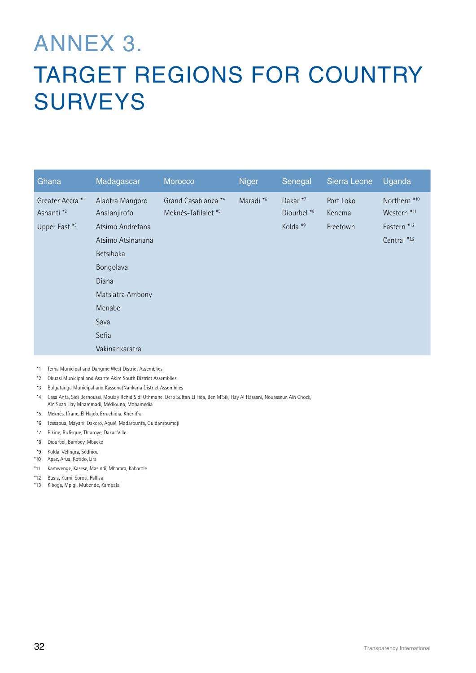## Annex 3. TARGET REGIONS FOR COUNTRY **SURVEYS**

| Ghana                                                                 | Madagascar                                                                                                                                                                          | Morocco                                               | <b>Niger</b>         | Senegal                                        | Sierra Leone                    | Uganda                                                                                     |
|-----------------------------------------------------------------------|-------------------------------------------------------------------------------------------------------------------------------------------------------------------------------------|-------------------------------------------------------|----------------------|------------------------------------------------|---------------------------------|--------------------------------------------------------------------------------------------|
| Greater Accra <sup>*1</sup><br>Ashanti <sup>*2</sup><br>Upper East *3 | Alaotra Mangoro<br>Analanjirofo<br>Atsimo Andrefana<br>Atsimo Atsinanana<br><b>Betsiboka</b><br>Bongolava<br>Diana<br>Matsiatra Ambony<br>Menabe<br>Sava<br>Sofia<br>Vakinankaratra | Grand Casablanca *4<br>Meknès-Tafilalet <sup>*5</sup> | Maradi <sup>*6</sup> | Dakar <sup>*7</sup><br>Diourbel *8<br>Kolda *9 | Port Loko<br>Kenema<br>Freetown | Northern <sup>*10</sup><br>Western <sup>*11</sup><br>Eastern <sup>*12</sup><br>Central *13 |

\*1 Tema Municipal and Dangme West District Assemblies

- \*2 Obuasi Municipal and Asante Akim South District Assemblies
- \*3 Bolgatanga Municipal and Kassena/Nankana District Assemblies
- \*4 Casa Anfa, Sidi Bernoussi, Moulay Rchid Sidi Othmane, Derb Sultan El Fida, Ben M'Sik, Hay Al Hassani, Nouasseur, Aïn Chock, Aïn Sbaa Hay Mhammadi, Médiouna, Mohamédia
- \*5 Meknès, Ifrane, El Hajeb, Errachidia, Khénifra
- \*6 Tessaoua, Mayahi, Dakoro, Aguié, Madarounta, Guidanroumdji
- \*7 Pikine, Rufisque, Thiaroye, Dakar Ville
- \*8 Diourbel, Bambey, Mbacké
- \*9 Kolda, Vélingra, Sédhiou
- \*10 Apac, Arua, Kotido, Lira
- \*11 Kamwenge, Kasese, Masindi, Mbarara, Kabarole
- \*12 Busia, Kumi, Soroti, Pallisa
- \*13 Kiboga, Mpigi, Mubende, Kampala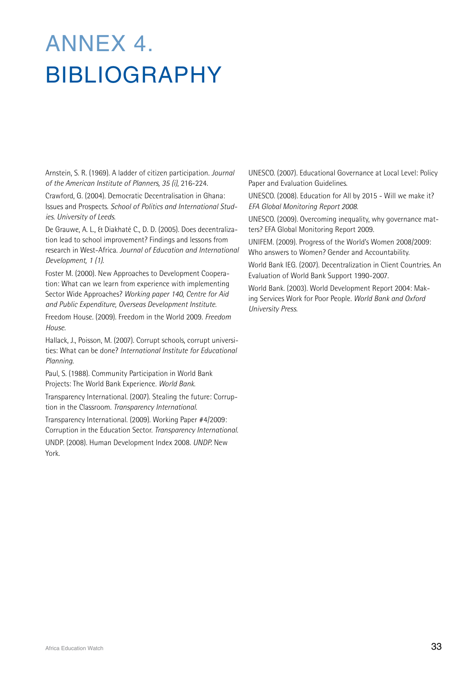## Annex 4. **BIBLIOGRAPHY**

Arnstein, S. R. (1969). A ladder of citizen participation. *Journal of the American Institute of Planners, 35 (i)*, 216-224.

Crawford, G. (2004). Democratic Decentralisation in Ghana: Issues and Prospects. *School of Politics and International Studies. University of Leeds*.

De Grauwe, A. L., & Diakhaté C., D. D. (2005). Does decentralization lead to school improvement? Findings and lessons from research in West-Africa. *Journal of Education and International Development, 1 (1).*

Foster M. (2000). New Approaches to Development Cooperation: What can we learn from experience with implementing Sector Wide Approaches? *Working paper 140, Centre for Aid and Public Expenditure, Overseas Development Institute.* 

Freedom House. (2009). Freedom in the World 2009. *Freedom House.*

Hallack, J., Poisson, M. (2007). Corrupt schools, corrupt universities: What can be done? *International Institute for Educational Planning.*

Paul, S. (1988). Community Participation in World Bank Projects: The World Bank Experience. *World Bank.*

Transparency International. (2007). Stealing the future: Corruption in the Classroom. *Transparency International.*

Transparency International. (2009). Working Paper #4/2009: Corruption in the Education Sector. *Transparency International.* UNDP. (2008). Human Development Index 2008. *UNDP.* New York.

UNESCO. (2007). Educational Governance at Local Level: Policy Paper and Evaluation Guidelines.

UNESCO. (2008). Education for All by 2015 - Will we make it? *EFA Global Monitoring Report 2008.*

UNESCO. (2009). Overcoming inequality, why governance matters? EFA Global Monitoring Report 2009.

UNIFEM. (2009). Progress of the World's Women 2008/2009: Who answers to Women? Gender and Accountability.

World Bank IEG. (2007). Decentralization in Client Countries. An Evaluation of World Bank Support 1990-2007.

World Bank. (2003). World Development Report 2004: Making Services Work for Poor People. *World Bank and Oxford University Press.*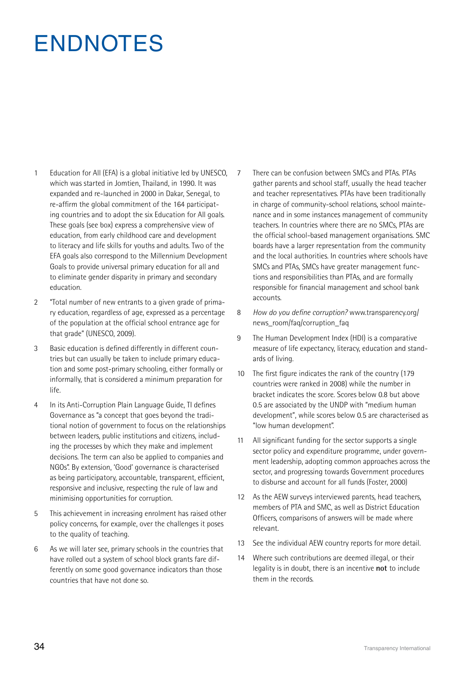## **ENDNOTES**

- 1 Education for All (EFA) is a global initiative led by UNESCO, which was started in Jomtien, Thailand, in 1990. It was expanded and re-launched in 2000 in Dakar, Senegal, to re-affirm the global commitment of the 164 participating countries and to adopt the six Education for All goals. These goals (see box) express a comprehensive view of education, from early childhood care and development to literacy and life skills for youths and adults. Two of the EFA goals also correspond to the Millennium Development Goals to provide universal primary education for all and to eliminate gender disparity in primary and secondary education.
- 2 "Total number of new entrants to a given grade of primary education, regardless of age, expressed as a percentage of the population at the official school entrance age for that grade" (UNESCO, 2009).
- 3 Basic education is defined differently in different countries but can usually be taken to include primary education and some post-primary schooling, either formally or informally, that is considered a minimum preparation for life.
- 4 In its Anti-Corruption Plain Language Guide, TI defines Governance as "a concept that goes beyond the traditional notion of government to focus on the relationships between leaders, public institutions and citizens, including the processes by which they make and implement decisions. The term can also be applied to companies and NGOs". By extension, 'Good' governance is characterised as being participatory, accountable, transparent, efficient, responsive and inclusive, respecting the rule of law and minimising opportunities for corruption.
- 5 This achievement in increasing enrolment has raised other policy concerns, for example, over the challenges it poses to the quality of teaching.
- 6 As we will later see, primary schools in the countries that have rolled out a system of school block grants fare differently on some good governance indicators than those countries that have not done so.

7 There can be confusion between SMCs and PTAs. PTAs gather parents and school staff, usually the head teacher and teacher representatives. PTAs have been traditionally in charge of community-school relations, school maintenance and in some instances management of community teachers. In countries where there are no SMCs, PTAs are the official school-based management organisations. SMC boards have a larger representation from the community and the local authorities. In countries where schools have SMCs and PTAs, SMCs have greater management functions and responsibilities than PTAs, and are formally responsible for financial management and school bank accounts.

- 8 *How do you define corruption?* www.transparency.org/ news\_room/fag/corruption\_fag
- 9 The Human Development Index (HDI) is a comparative measure of life expectancy, literacy, education and standards of living.
- 10 The first figure indicates the rank of the country (179 countries were ranked in 2008) while the number in bracket indicates the score. Scores below 0.8 but above 0.5 are associated by the UNDP with "medium human development", while scores below 0.5 are characterised as "low human development".
- 11 All significant funding for the sector supports a single sector policy and expenditure programme, under government leadership, adopting common approaches across the sector, and progressing towards Government procedures to disburse and account for all funds (Foster, 2000)
- 12 As the AEW surveys interviewed parents, head teachers, members of PTA and SMC, as well as District Education Officers, comparisons of answers will be made where relevant.
- 13 See the individual AEW country reports for more detail.
- 14 Where such contributions are deemed illegal, or their legality is in doubt, there is an incentive **not** to include them in the records.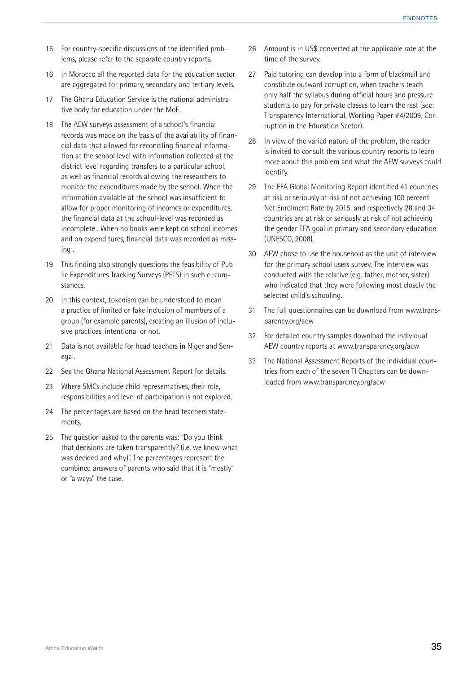- 15 For country-specific discussions of the identified problems, please refer to the separate country reports.
- 16 In Morocco all the reported data for the education sector are aggregated for primary, secondary and tertiary levels.
- 17 The Ghana Education Service is the national administrative body for education under the MoE.
- 18 The AEW surveys assessment of a school's financial records was made on the basis of the availability of financial data that allowed for reconciling financial information at the school level with information collected at the district level regarding transfers to a particular school, as well as financial records allowing the researchers to monitor the expenditures made by the school. When the information available at the school was insufficient to allow for proper monitoring of incomes or expenditures, the financial data at the school-level was recorded as incomplete . When no books were kept on school incomes and on expenditures, financial data was recorded as missing .
- 19 This finding also strongly questions the feasibility of Public Expenditures Tracking Surveys (PETS) in such circumstances.
- 20 In this context, tokenism can be understood to mean a practice of limited or fake inclusion of members of a group (for example parents), creating an illusion of inclusive practices, intentional or not.
- 21 Data is not available for head teachers in Niger and Senegal.
- 22 See the Ghana National Assessment Report for details.
- 23 Where SMCs include child representatives, their role, responsibilities and level of participation is not explored.
- 24 The percentages are based on the head teachers statements.
- 25 The question asked to the parents was: "Do you think that decisions are taken transparently? (i.e. we know what was decided and why)". The percentages represent the combined answers of parents who said that it is "mostly" or "always" the case.
- 26 Amount is in US\$ converted at the applicable rate at the time of the survey.
- 27 Paid tutoring can develop into a form of blackmail and constitute outward corruption, when teachers teach only half the syllabus during official hours and pressure students to pay for private classes to learn the rest (see: Transparency International, Working Paper #4/2009, Corruption in the Education Sector).
- 28 In view of the varied nature of the problem, the reader is invited to consult the various country reports to learn more about this problem and what the AEW surveys could identify.
- 29 The EFA Global Monitoring Report identified 41 countries at risk or seriously at risk of not achieving 100 percent Net Enrolment Rate by 2015, and respectively 28 and 34 countries are at risk or seriously at risk of not achieving the gender EFA goal in primary and secondary education (UNESCO, 2008).
- 30 AEW chose to use the household as the unit of interview for the primary school users survey. The interview was conducted with the relative (e.g. father, mother, sister) who indicated that they were following most closely the selected child's schooling.
- 31 The full questionnaires can be download from www.transparency.org/aew
- 32 For detailed country samples download the individual AEW country reports at www.transparency.org/aew
- 33 The National Assessment Reports of the individual countries from each of the seven TI Chapters can be downloaded from www.transparency.org/aew